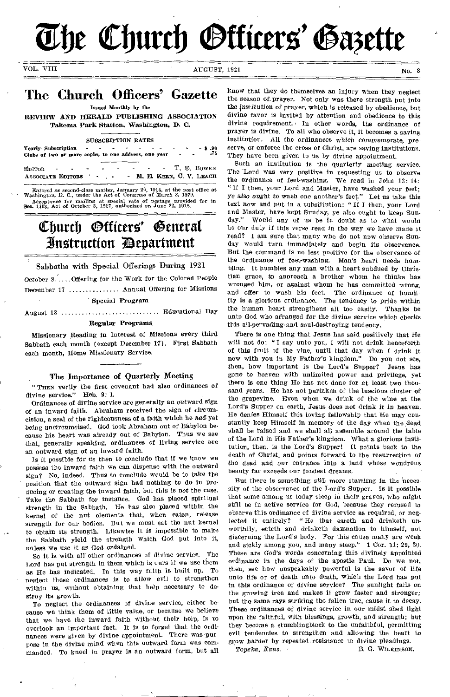The Church **Otticers' Gazette** 

VOL. VIII AUGUST, 1921 No. 8

# The Church Officers' Gazette

Issued Monthly by the

REVIEW AND HERALD PUBLISHING ASSOCIATION Takoma Park Station, Washington, D. C.

#### SUBSCRIPTION RATES

Yearly- Subscription - \$ .90 Clubs of two or more copies to one address, one year - .75

EDITOR **T. E. BOWEN** ASSOCIATE EDITORS - - M. E. KEEN, C. V. LEACH

Entered as second-class matter, January 20, 1914, at the post office at Washington, D. C., under the Aet of Congress of March 3, 1879. Acceptance for mailing at special rate of postage provided for in Sec. 1103, Act of October 3, 1917, authorized on June 22, 1918.

# Church *Otticers'* General 3Itztruction 3Department

Sabbaths with Special Offerings During 1921

October  $8. \ldots$  Offering for the Work for the Colored People December 17 ............... Annual Offering for Missions

Special Program

August 13 Edllefl I tonal Day

# Regular Programs

Missionary Reading in Interest of Missions every third Sabbath each month (except December 17). First Sabbath each month, Home Missionary Service.

# The Importance of Quarterly Meeting

" THEN verily the first covenant had also ordinances of divine service." Heb. 9: 1.

Ordinances of divine service are generally an outward sign of an inward faith. Abraham received the sign of circumcision, a seal of the righteousness of a faith which he had yet *being* uncircumcised. God took Abraham out of Babylon because his heart was already out of Babylon. Thus we see that, generally speaking, ordinances of living service are an outward sign of an inward faith.

Is it possible for us then to conclude that if we know we possess the inward faith we can dispense with the outward sign? No, indeed. Thus to conclude would be to take the position that the outward sign had nothing to do in producing or creating the inward faith, but this is not the case. Take the Sabbath for instance. God has placed spiritual strength in the Sabbath. He has also placed within the kernel of the nut elements that, when eaten, release strength for our bodies. But we must eat the nut kernel to obtain its strength. Likewise it is impossible to make the Sabbath yield the strength which God put into it, unless we use it as *God* ordained.

So it is with all- other ordinances of divine service. The Lord has put strength in them which is ours if we use them as He has indicated. In this way faith is built up. To neglect these ordinances is to allow evil to strengthen within us, without obtaining that help necessary to destroy its growth.

To neglect the ordinances of divine service, either because we think them of little value, or because we believe that we have the inward faith without their help, is to overlook an important fact. It is to forget that the ordinances were given by divine appointment. There was purpose in the divine mind when this outward form was commanded. To kneel in prayer is an outward form, but all know that they do themselves an injury when they neglect the season of. prayer. Not only was there strength put into the *institution* of prayer, which is released by obedience, but divine favor is invited by attention and obedience to this divine requirement. In other words, the ordinance of prayer is divine. To all who observe it, it becomes a saving institution. All the ordinances which commemorate, preserve, or enforce the cross of Christ, are saving institutions. They have been given to us by divine appointment.

Such an institution is the quarterly meeting service. The Lord was very positive in requesting us to observe the ordinance of feet-washing. We read in John 13: 14: " If I then, your Lord and Master, have washed your feet; ye *also ought* to wash one another's feet." Let us take this text now and put in a substitution: "If I then, your Lord and Master, have kept Sunday, ye also ought to keep Sunday." Would any of us be in doubt as to what would be our duty if this verse read in the way we have made it read? I am sure that many who do not now observe Sunday would turn immediately and begin its observance. But the command is no less positive for the observance of the ordinance of feet-washing. Man's heart needs humbling. It humbles any man with a heart subdued by Christian grace, to approach a brother whom he thinks has wronged him, or against whom he has committed wrong, and offer to wash his feet. The ordinance of humility is a glorious ordinance. The tendency to pride within the human heart strengthens all too easily. Thanks be unto God who arranged for the divine service which checks this all-pervading and soul-destroying tendency.

There is one thing that Jesus has said positively that He will not do: "I say unto you, I will not drink henceforth of this fruit of the vine, until that day when I drink it new with you in My Father's kingdom." Do you not see, then, how important is the Lord's Supper? Jesus has gone to heaven with unlimited power and privilege, yet there is one thing He has not done for at least two thousand years. He has not partaken of the luscious cluster of the grapevine. Even when we drink of the wine at the Lord's Supper on earth, Jesus does not *drink it in* heaven. He denies Himself this loving fellowship that He may constantly keep Himself in memory of the day when the dead shall be raised and we shall all assemble around the table of the Lord in His Father's kingdom. What a glorious institution, then, is the Lord's Supper! It points back to the death of Christ, and points forward to the resurrection of the dead and our entrance into a land whose wondrous beauty far exceeds our fondest dreams.

But there is something still more startling in the necessity of the observance of the Lord's Supper. Is it possible that some among us today sleep in their graves, who *might*  still be in active service for God, because they refused to observe this ordinance of divine service as required, or neg-<br>lected it entirely? "He that eateth and drinketh un-"He that eateth and drinketh unworthily, eateth and drinketh damnation to himself, not discerning the Lord's body. For this cause many are weak and sickly among you, and many sleep." 1 Cor. 11: 29, 30. These are God's words concerning this divinely appointed ordinance in the days of the apostle Paul. Do we not, then, see how unspeakably Powerful is the savor of life unto life or of death unto death, which the Lord has put in this ordinance of divine service? The sunlight falls on the growing tree and makes it grow faster and stronger; but the same rays striking the fallen tree, cause it to decay. These ordinances of divine service in our midst shed light upon the faithful, with blessings, growth, and strength; but they become a stumblingblock to the unfaithful, permitting evil tendencies to strengthen and allowing the heart to

grow harder by repeated resistance to divine pleadings.<br>Toneka, Kans. B. G. WILKINSON

B. G. WILKINSON.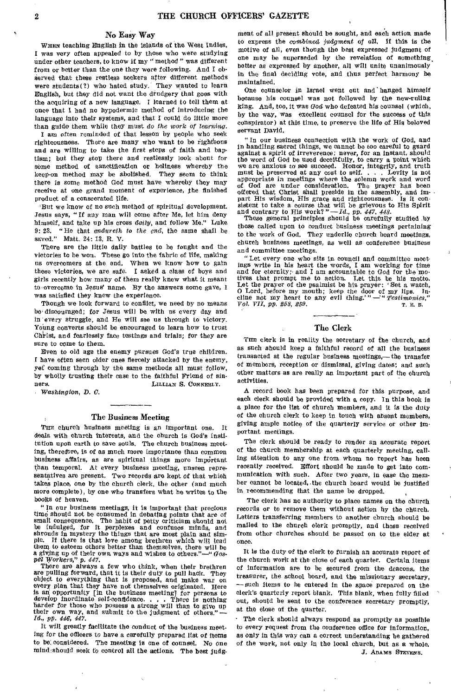# No Easy Way

WHEN teaching English in the islands of the West Indies, I was very often appealed to by those who were studying under other teachers, to know if my " method " was different from or better than the one they were following. And I observed that these restless seekers after different methods were students(?) who hated study. They wanted to learn English, but they did not want the drudgery that goes with the acquiring of a new language. I learned to tell them at once that I had no hypodermic method of introducing the language into their systems, and that I could do little more than guide them while they must *do the work of learning.* 

*I* am often reminded of that lesson by people who seek righteousness. There are many who want to be righteous and are willing to take the first steps of faith and baptism; but they stop there and restlessly look about for some method of sanctification or holiness whereby the keep-on method may be abolished. They seem to think there is some method God must have whereby they may receive at one grand moment of experience, the finished product of a consecrated life.

'But we know of no such method of spiritual development. Jesus says, " If any man will come after Me, let him deny himself, and take up his cross *daily,* and follow Me." Luke 9: 23. "He that *ondureth to the end,* the same shall be saved." Matt. 24: 13, R. V.

There are the little daily battles to be fought and the victories to be won. These go into the fabric of life, making us overcomers at the end. When we know how to gain these victories, we are *safe.* I asked a class of boys and girls recently how many of them really knew what it meant to•overcome in Jesus' name. By the answers some gave, I was satisfied they knew the experience.

Though we look forward to conflict, we need by no means be discouraged; for Jesus will be with us every day and in every struggle, and He will *see* us through to victory. Young converts should be encouraged to learn how to trust Christ, and fearlessly face testings and trials; for they are sure to come to them.

Even to old age the enemy pursues God's true children. I have often seen older ones fiercely attacked by the enemy, yet' coming through by the same methods all must follow, by wholly trusting their case to the faithful Friend of sin-<br>ners. [JULIAN S. CONNERLY.] LILLIAN S. CONNERLY.

*Washington, D. C.* 

### The Business Meeting

THE church husiness meeting is an important one. deals with church interests, and the church is God's institution upon earth to save souls. The church business meeting, therefore, is of as much more importance than common business affairs, as are spiritual things more important than temporal. At every business meeting, unseen representatives are present. Two records are kept of that which takes place, one by the church clerk, the other (and much more complete), by one who transfers what he writes to the books of heaven.

"In our business meetings, it is important that precious time should not be consumed in debating points that are of small consequence. The habit of petty criticism should not be indulged, for it perplexes and confuses minds, and shrouds in mystery the things that are most plain and simple. If there is that love among brethren which will lead ple. If there is that love among brethren which will lead them to esteem others better than themselves, there will be a giVing up of their own ways and wishes to others."—" *Gos-pel Workers," p. 447.* 

There are always a few who think, when their brethren are pulling forward, that it is their duty to pull back. They object to everything that is proposed, and make war on every plan that they have not themselves originated. Here is an opportunity [in the business meeting] for persons to develop inordinate self-confidence. . . . There is nothing harder for those who possess a strong will than to give up their own way, and submit to the judgment of others." *— M.,* pp. *446', 447.* 

It will greatly facilitate the conduct of the business meeting for the officers to have a carefully prepared list of items to be considered. The meeting is one of counsel. No one mind:should seek to control all the actions. The best judgment of all present should be sought, and each action made to express the *combined* judgment of all. If this is the motive of all, even though the best expressed judgment of one may be superseded by the revelation of something. better as expressed by another, all will unite unanimously in the final deciding vote, and thus perfect harmony be maintained.

One counselor in Israel went out and hanged himself because his counsel was not followed by the new-ruling king. And, too, it was *God* who defeated his counsel (which, by the way, was excellent counsel for the success of this conspirator) at this time, to preserve the life of His beloved servant David.

" In our business connection with the work of God, and in handling sacred things, we cannot be too careful to guard against a spirit of irreverence; never, for an instant, should the word of God be used deceitfully, to carry a point which we are anxious to see succeed. Honor, integrity, and truth must be preserved at any cost to self. . . . Levity is not appropriate in meetings where the solemn work and word God are under consideration. The prayer has been offered that Christ shall preside in the assembly, and impart His wisdom, His grace and righteousness. Is it consistent to take a course that will be grievous to His Spirit and contrary to His work? "-*Id., pp. 447, 448.* These general principles should be carefully studied by

those called upon to conduct business meetings pertaining to the work of God. They underlie church board meetings, church business meetings, as well as conference business and committee meetings.

"Let every one who sits in council and committee meet-ings write in his heart the words, I am working for time and for eternity; and I am accountable to God for the motives that prompt me to action. Let this be his motto.<br>Let the prayer of the psalmist be his prayer: 'Set a watch,<br>O Lord, before my mouth; keep the door of my lips. In-<br>cline not my heart to any evil thing.'" — "Testimon *Vol. VII, pp. 258, 259.* 

## The Clerk

THE clerk is in reality the secretary of the church, and as such should keep a faithful record of all the business transacted at the regular business meetings,— the transfer of members, reception or dismissal, giving dates; and such other matters as are really an important part of the church activities.

A record book has been prepared for this purpose, and each clerk should be provided with a copy. In this book is a place for the list of church members, and it is the duty of the church clerk to keep in touch with absent members, giving ample notice of the quarterly service or other important meetings.

The clerk should be ready to render an accurate report of the church membership at each quarterly meeting, calling attention to any one from whom no report has been recently received. Effort should be made to get into communication with such. After two years, in case the member cannot be located, the church board would be justified in recommending that the name be dropped.

The clerk has no authority to place names on the church records or to remove them without action by the church. Letters transferring members to another church should be mailed to the church clerk promptly, and those received from other churches should be passed on to the elder at once.

It is the duty of the clerk to furnish an accurate report of the church work at the close of each quarter. Certain items of information are to be secured from the deacons, the treasurer, the school board, and the missionary secretary, —such items to be entered in the space prepared on the clerk's quarterly report blank. This blank, when fully filled out, should be sent to the conference secretary promptly, at the close of the quarter.

The clerk should always respond as promptly as possible to every request from the conference office for information, as only in this way can a correct understanding be gathered of the work, not only *in* the local church, but as a whole. J. ADAMS STEVENS.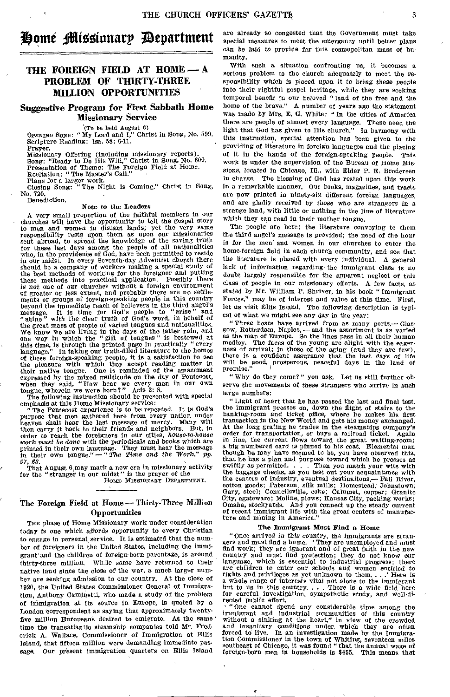# Home Missionary Department

# THE FOREIGN FIELD AT HOME - A PROBLEM OF THIRTY-THREE MILLION OPPORTUNITIES

# Suggestive Program for First Sabbath Home Missionary Service

'(To be held August 6)

*OPENING* SONG: "My Lord and I," Christ in Song, No. 599. Scripture Reading: Isa. 58: 6-11.

Prayer.<br>Missionary Offering (including missionary reports). Song: "Ready to Do His Will," Christ in Song, No. 600. Presentation of Theme: The Foreign Field at Home.

Recitation: "The Master's Call."

Plans for a larger work. Closing Song: "The Night Is Coming," Christ in Song, Closing Song:<br>No. 720. Benediction.

# Note to the Leaders

A very small proportion of the faithful members in our churches will have the opportunity to tell the gospel story to men and women in distant lands; yet the very same responsibility rests upon them as upon our missionaries sent abroad, to spread the knowledge of the saving truth for these last days among the people of all nationalities who, in the providence of God, have been permitted to reside in our midst. In every Seventh-day Adventist church there should be a company of workers making a special study of the best methods of working for the foreigner and putting these methods into practical application. Possibly there is not one of our churches without a foreign environment of greater or less extent, and probably there are no settlements or groups of foreign-speaking people in this country beyond the immediate reach of believers in the third angel's message. It is time for God's people to " arise " and "shine" with the clear truth of God's word, in behalf of the great mass of people of varied tongues and nationalities. We know we are living in the days of the latter rain, and one way in which the " gift of tongues " is bestowed at this time, is through the printed page in practically "every language." In taking our truth-filled literature to the homes of these foreign-speaking people, it is a satisfaction to see the pleasure with which they accept reading matter in their native tongue. One is reminded of the amazement expressed by the mixed multitude on the day of Pentecost, when they said, "How hear we every man in our own tongue, wherein we were born?" Acts 2: 8.

The following instruction should be presented with special emphasis at this Home Missionary service:

The Pentecost experience is to be repeated. It is God's purpose that men gathered here from every nation under heaven shall hear the last message of mercy. Many will then carry it back to their friends and neighbors. But, in order to reach the foreigners in our cities, *house-to-house work must be done* with the periodicals and books which are printed in their own language. They must hear the message in their own tongue." — " *The Time and the Work," pp.* 

27, 28.<br>
That August 6 may mark a new era in missionary activity<br>
for the "stranger in our midst" is the prayer of the

HOME MISSIONARY DEPARTMENT.

# The Foreign Field at Home—Thirty-Three Million **Opportunities**

THE phase of Home Missionary work under consideration today is one which affords opportunity to every Christian to engage in personal service. It is estimated that the number of foreigners in the United States, including the immigrant' and the children of foreign-born parentage, is around thirty-three million. While *some* have returned to their native land since the close of the war, a much larger number are seeking admission to our country. At the close of 1920, the United States Commissioner General of Immigration, Anthony Caminetti, who made a study of the problem of Immigration at its source in Europe, is quoted by a London correspondent as saying that approximately twentyfive million Europeans desired to emigrate. At the same ' time the transatlantic steamship companies told Mr. Frederick A. Wallace, Commissioner of Immigration at Ellis Island, that fifteen million were demanding immediate passage. Our present immigration quarters on Ellis Island

are already so congested that the Government must take special measures to meet the emergency until better plans *can be laid* to provide for this cosmopolitan mass of humanity.

With such a situation confronting us, it becomes a serious problem to the church adequately to meet the responsibility which is placed upon it to *bring* these people into their rightful gospel heritage, while they are seeking temporal benefit in our beloved " land of the free and the home of the brave." A number of years ago the statement was made by Mrs. E. G. White: "In the cities of America there are people of almost every language. These need the light that God has given to His church." In harmony with this instruction, special attention has been given to the providing of literature in foreign languages and the placing of it in the hands of the foreign-speaking people. This work is under the supervision of the Bureau of Home *Missions,* located in Chicago, Ill., with Elder P. E. Brodersen in charge. The blessing of God has rested upon this work in a remarkable manner. Our books, magazines, and tracts are now printed in ninety-six different foreign languages, and are gladly received by those who *are strangers* in a strange land, with little or nothing in the line of literature which they can read in their mother tongue.

The people are here; the literature conveying to them the third angel's message is provided; the need of the hour is for the men and women in our churches to enter the home-foreign field in each church community, and see that the literature is placed with every individual. A general lack of information regarding the immigrant class is no doubt largely responsible for the apparent neglect of this class of people in our missionary efforts. A few facts, as stated by Mr. William P. Shriver, in his book " Immigrant Forces," may be of interest and value at this time. First, let us visit Ellis Island. The following description is typical of what we might see any day in the year:

"Three boats *have arrived from* as many ports,— Glasgow, Rotterdam, Naples,—and the assortment is as varied as the map of Europe. So the lines pass in all their human medley. The faces of the young are alight with the eagerness of arrival; in those of the aging (and they are few), there is a confident assurance that the last days *of life*  will be good, prosperous, peaceful days in the land of promise."

" Why do they come?" you ask. Let us still further observe the movements of these *strangers who arrive* in such large numbers:

"Light of heart that he has passed the last and final test, the immigrant presses on, down the flight of stairs to the banking-room and ticket office, where he makes his first transaction in the New World and gets his money exchanged. At the long grating he trades in the steamships company's order for transportation, or buys a railroad ticket. Again in line, the current flows toward the great waiting-room; a big numbered card is pinned to his coat. Elemental man though he may have seemed to be, you have observed this, that he has a plan and purpose toward which he presses as swiftly as permitted. . . . Then you match your wits with the baggage checks, as you test out your acquaintance with the centers of industry, eventual destinations,— Fall River, cotton goods; Paterson, silk mills; Homestead, Johnstown; Gary, steel; Connellsville, coke; Calumet, copper; Granite City, agateware; Moline, plows; Kansas City, packing works; Omaha, stockyards. And you connect up the steady current of recent immigrant life with the great centers of manufacture and mining in America.'

# The Immigrant Must Find a Home

"Once arrived in this country, the immigrants are stran-gers and must find a home. ' They are unemployed and must find work; they are ignorant and of great faith in the new country and must find protection; they do not know our language, which is essential to industrial progress; there are children to enter our schools and women entitled to rights and privileges as yet unknown to them. , . .' Here is rights and privileges as yet unknown to them, . . . Here is a whole range of interests vital not alone to the immigrant but to us in this country. . . . There is a wide field here for careful investigation, sympathetic study, and well-directed public effort.

• "One cannot Spend any considerable time among the immigrant and industrial communities of this country without a sinking at the heart," in view of the crowded and *insanitary conditions* under, which they are often forced to live. In an investigation made by the Immigra-tion Commissioner in the town of Whiting, seventeen miles southeast of Chicago, it was found " that the annual wage of foreign-born men in households is \$455. This means that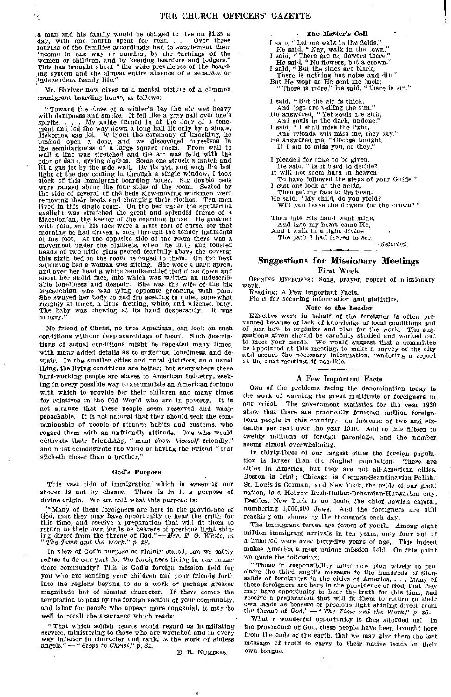a man and his family would be obliged to live on \$1.25 a day, with one fourth spent for rent. . . Over three fourths of the families accordingly had to supplement their income in one way or another, by the earnings of the Women or children, and by keeping boarders and lodgers." This has brought about "the wide prevalence of the boarding system and the almost entire absence of a separate or independent family life."

Mr. Shriver now gives us a mental picture of a common immigrant boarding house, as follows:

"Toward the close of a winter's day the air was heavy<br>with dampness and smoke. It fell like a gray pall over one's<br>spirits.... My guide turned in at the door of a tene-<br>ment and led the way down a long hall lit only by a flickering gas jet. Without the ceremony of knocking, he pushed open a door, and we discovered ourselves in the semidarkness of a large square room. From wall to wall a line was stretched and the air was fetid with the odor of dank, drying clothes. Some one struck a match and lit a gas jet by the side wall. By its aid, and with the last light of the day coming in through a single window, I took stock of this immigrant boarding house. Six double beds were ranged about the four sides of the room. Seated by the side of several of the beds slow-moving workmen were removing their boots and changing their clothes. Ten men lived in this single room. On the bed under the sputtering gaslight was stretched the great and splendid frame of a Macedonian, the keeper of the boarding house. He groaned with pain, and his face wore a mute sort of curse, for that morning he had driven a pick through the tender ligaments of his foot. At the opposite side of the room there was a movement under the blankets, when the dirty and tousled heads of two little girls peered fearfully above the covers; this sixth bed in the room belonged to them. On the next adjoining bed a woman was sitting. She wore a dark apron, and over her head a white handkerchief tied close down and about her stolid face, into which was written an indescrib-able loneliness and despair. She was the wife of the big Macedonian who was lying opposite groaning with pain. She swayed her body to and fro seeking to quiet, somewhat roughly at times, a little fretting, white, and wizened baby. The baby was chewing at its hand desperately. It was hungry.

No friend of Christ, no true American, can look on such conditions without deep searchings of heart. Such descriptions of actual conditions might be repeated many times, with many added details as to suffering, loneliness, and despair. In the smaller cities and rural districts, as a usual thing, the living conditions are better; but everywhere these hard-working people are slaves to American industry, seeking in every possible way to accumulate *an* American fortune with which to provide for their children and many times for relatives in the Old World who are in poverty. It is not strange that these people seem reserved and unapproachable. It is not natural that they should seek the companionship of people of strange habits and customs, who regard them with an unfriendly attitude. One who would cultivate their friendship, "must show *himself* friendly," and must demonstrate the value of having the Friend "that sticketh closer than *a* brother."

# God's Purpose

This vast tide of immigration which is sweeping our shores is not by chance. There is in it a purpose of divine origin. We are told what this purpose is:

laMany of these foreigners are here in the providence of God, that they may have opportunity to hear the truth for this time, and receive a preparation that will fit them to return to their own lands as bearers of precious light shin-ing direct from the throne of God,"— *Mrs. E. G. White, in "The Time and the Work," p. 88.* 

In view of God's purpose so plainly stated, can *we* safely refuse to do our part for the foreigners living in our immediate community? This is God's foreign mission field for you who are sending your children and your friends forth into the regions beyond to do a work of perhaps greater magnitude but of similar character. If there comes the temptation to pass by the foreign section of your community, and labor for people who appear more congenial, it may be well to recall the assurance which reads:

"That which selfish hearts would regard as humiliating service, ministering to those who are wretched and in every way inferior in character and rank, is the work of sinless angels." — *"Steps to Christ,"* p, *81.* 

E. R. NUMBERS.

#### The Master's Call

- I sAID, "Let me walk in the fields." He said, "Nay, walk in the town."
	- I said, "There are no flowers there.
	- He said, "No flowers, but a crown." I said, "But the skies are black,
- There is nothing but noise and din." But He wept as He sent me back;
	- "There is more," He said, "there is sin."
- I said, "But the air is thick,
- And fogs are veiling the sun." He answered, "Yet souls are sick,
- 
- And souls in the dark, undone." I said, "I shall miss the light,
- And friends will miss me, they say." He answered me, "Choose tonight,
- If I am to miss you, or they.
- 
- 
- I pleaded for time to be given. He said, "Is it hard to decide? It will not seem hard in heaven
- To have followed the steps of your Guide." I cast one look at the fields,
- Then set my face to the town.

He said, "My child, do you yield? Will you leave the flowers for the crown?"

Then into His hand went mine,

And into my heart came He, And I walk in a light divine

The path I had feared to see.

*—Selected.* 

# Suggestions for Missionary Meetings First Week

OPENING EXERCISES: Song, prayer, report of missionary work.

Reading: A Few Important Facts.

Plans for securing information and statistics.

Note to the Leader

Effective work in behalf of the foreigner is often prevented because of lack of knowledge of local conditions and of just how to organize and plan for the work. The sug-gestions given should be carefully studied and worked out to meet your needs. We would suggest that a committee be appointed at this meeting, to make a survey of the city and secure the necessary information, rendering a report at the next meeting, if possible.

# A Few Important Facts

ONE of the problems facing the denomination today is the work of warning the great multitude of foreigners in our midst. The government statistics for the year 1920 The government statistics for the year 1920 show that there are practically fourteen million foreignborn people in this country,— an increase of two and sixtenths per cent over the year 1910. Add to this fifteen to twenty millions of foreign parentage, and the number seems almost overwhelming.

In thirty-three of our largest cities the foreign population is larger than the English population. These are cities in America, but they are not all-American cities. Boston is Irish; Chicago is German-Scandinavian-Polish; St. Louis is German; and New York, the pride of our great nation, is a Hebrew-Irish-Italian-Bohemian-Hungarian city. Besides, New York is no doubt the chief Jewish capital, numbering 1,500,000 Jews. And the foreigners are still reaching our shores by the thousands each day.

The immigrant forces are forces of youth. Among eight million immigrant arrivals in ten years, only four out of a hundred were over forty-five years of age. This indeed makes America a most unique mission field. On this point we quote the following:

"Those in responsibility must now plan wisely to proclaim the third angel's message to the hundreds of thou-sands of foreigners in the cities of America.. . Many of these foreigners are here in the providence of God, that they may have opportunity to hear the truth for this time, and receive a preparation that will fit them to return to their own lands as bearers of precious light shining direct from the throne of God." —" *The Time and the* Work," p. *28.* 

What a wonderful opportunity is thus afforded us! In the providence of God, these people have been brought here from the ends of the earth, that we may give them the last message of truth to carry to their native lands in their own tongue.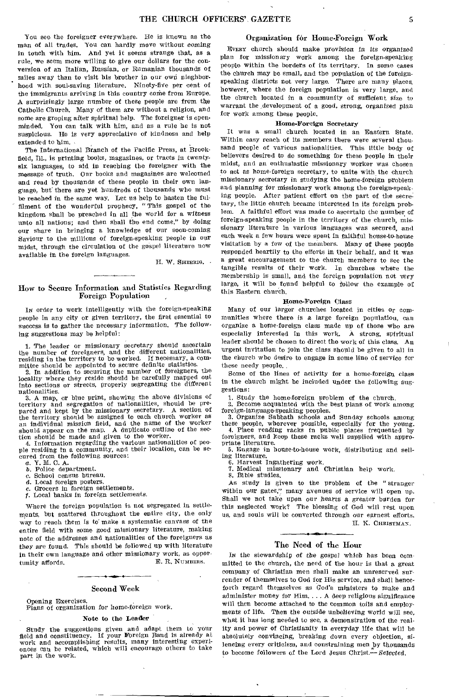You see the foreigner everywhere. He is known as the man of all trades. You can hardly move without coming in touch with him. And yet it seems strange that, as a rule, we seem more willing to give our dollars for the conversion of an Italian, Russian, or Rumanian thousands of miles away than to visit his brother in our own nieghborhood with soul-saving literature. Ninety-five per cent of the immigrants arriving in this country come from Europe. A surprisingly large number of these people are from the Catholic Church. Many of them are without a religion, and some are groping after spiritual help. The foreigner is openminded. You can talk with him, and as a rule he is not suspicious. He is very appreciative of kindness and help extended to him.

The International Branch of the Pacific Press, at Brookfield, Ill., is printing books, magazines, or tracts in twentysix languages, to aid in reaching the foreigner with the message of truth. Our books and magazines are welcomed and read by thousands of these people in their own language, but there are yet hundreds of thousands who must be reached in the same way. Let us help to hasten the ful filment of the wonderful prophecy, "This gospel of the kingdom shall be preached in all the world for a witness unto all nations; and then shall the end come," by doing our share in bringing a knowledge of our soon-coming Saviour to the millions of foreign-speaking people in our midst, through the circulation of the gospel literature now available in the foreign languages.

H. W. SHERRIG.

# How to Secure Information and Statistics Regarding Foreign Population

IN order to work intelligently with the foreign-speaking people in any city or given territory, the first essential to success is to gather the necessary information, The following suggestions may be helpful:

1. The leader or missionary secretary should ascertain the number of foreigners, and the different nationalities, residing in the territory to be worked. If necessary, a committee should be appointed to secure definite statistics.

2. In addition to securing the number of foreigners, the locality where they reside should be carefully mapped out into sections or streets, properly segregating the different nationalities.

3. A map, or blue print, showing the above divisions of territory and segregation of nationalities, should be pre-pared and kept by the missionary secretary. A section of the territory should be assigned to each church worker as an individual mission field, and the name of the worker should appear on the map. A duplicate outline of the sec-

tion should be made and given to the worker. 4. Information regarding the various nationalities of peo-ple residing in a community, and their location, can be secured from the following sources:<br> $a.$  Y. M. C. A.

b. Police department.

 $c.$  School census bureau.<br> $d.$  Local foreign posters.

Local foreign posters.

Grocers in foreign settlements.

*j.* Local banks in foreign settlements.

Where the foreign population is not segregated in settlements, but scattered throughout the entire city, the only way to reach them is to make a systematic canvass of the entire field with some good missionary literature, making note of the addresses and nationalities of the foreigners as they are found. This should be followed up with literature in their own language and other missionary work, as opportunity affords. The contract of the E.R. Numbers.

# Second Week

Opening Exercises. Plans of organization for home-foreign work.

## Note to the Leader

Study the suggestions given and adapt them to your field and constituency. If your Foreign Band is already at work and accomplishing results, many interesting experiences can be related, which will encourage others to take part in the work.

# Organization for Home-Foreign Work

EVERY church should make provision in its organized plan for missionary work among the foreign-speaking people within the borders of its territory, In some cases the church may be small, and the population of the foreignspeaking districts not very large. There are many places, however, where the foreign population is very large, and the church located in a community of sufficient size to warrant the development of a good, strong, organized plan for work among these people,

# Home-Foreign Secretary

It was a small church located in an Eastern State. Within easy reach of its members there were several thousand people of various nationalities, This little body of believers desired to do something for these people in their midst, and an enthusiastic missionary worker was chosen to act as home-foreign secretary, to unite with the church missionary secretary in studying the home-foreign problem and planning for missionary work among the foreign-speaking people. After patient effort on the part of the secretary, the little church became interested in its foreign problem. A faithful effort was made to ascertain the number of foreign-speaking people in the territory of the church, missionary literature in various languages was secured, and each week a few hours were spent in faithful house-to-house visitation by a few of the members. Many of these people responded heartily to the efforts in their behalf, and it was a great encouragement to the church members to see the tangible results of their work. In churches where the membership is small, and the foreign population not very large, it will be found helpful to follow the example of this Eastern church.

#### Home-Foreign *Class*

Many of our larger churches located in cities or communities where there is a large foreign population, can organize a home-foreign class made up of those who are especially interested in this work. A strong, spiritual leader should be chosen to direct the work of this class. An urgent invitation to join the class should be given to all in the church who desire to engage in some line of service for these needy people,

Some of the lines of activity for a home-foreign class in the church might be included under the following suggestions:

1. Study the home-foreign problem of the church. 2. Become acquainted with the best plans of work among foreign-language-speaking peoples.

3. Organize Sabbath schools and Sunday schools among these people, wherever possible, especially for the young. 4. Place reading racks in public places frequented by foreigners, and keep these racks well supplied with appro-

priate literature. 5. Engage in house-to-house work, distributing and sell-

ing literature.

6. Harvest Ingathering work.<br>7 Medical missionary and

7. Medical missionary and Christian help work. 8. Bible studies,

As study is given to the problem of the " stranger within our gates," many avenues of service will open up. Shall we not take upon our hearts a greater burden for this neglected work? The blessing of God will rest upon us, and souls will be converted through our earnest efforts.

# H. K. CHRISTMAN.

# The Need of the Hour

Ix the stewardship *of the gospel* which has been committed to the church, the need of the hour is that a great company of Christian men shall make an unreserved surrender of themselves to God for His service, and shall henceforth regard themselves as God's ministers to make and administer money for Him.... A deep religious significance will then become attached to the common toils and employments of life. Then the outside *unbelieving* world will see, what it has long needed to see, a demonstration of the reality and power of Christianity in everyday life that will be absolutely convincing, breaking down every objection, silencing every criticism, and constraining men by thousands to become followers of the Lord Jesus Christ.— *Selected.*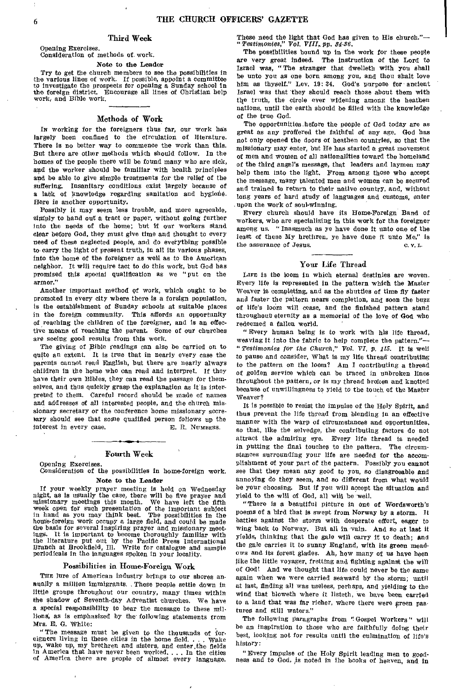# Third Week

#### Opening Exercises. Consideration of methods of. work.

# Note to the Leader

'fry to get the church members to see the possibilities in the various lines of work. If possible, appoint a committee to investigate the prospects for opening a Sunday school in the foreign district. Encourage all lines of Christian help work, and Bible work.

### Methods of Work

IN working for the foreigners thus far, our work has largely been confined to the circulation of literature. There is no better way to commence the work than this. But there are other methods which should follow. In the homes of the people there will be found many who are sick, and the worker should be familiar with health principles and be able to give simple treatments for the relief of the suffering. Insanitary conditions exist largely because of a lack of knowledge regarding sanitation and hygiene. Here is another opportunity.

Possibly it may seem less trouble, and more agreeable, simply to hand out a tract or paper, without going further into the needs of the home; but if our workers stand clear before God, they must give time and thought to every need of these neglected people, and do everything possible to carry the light of present truth, in all its various phases, into the home of the foreigner as well as to the American neighbor. It will require tact to do this work, but God has promised this special qualification as we "put on the armor."

Another important method of work, which ought to be promoted in every city where there is a forsign population. is the establishment of Sunday schools at suitable places in the foreign community. This affords an opportunity of reaching the children of the foreigner, and is an effective means of reaching the parent. Some of our churches are seeing good results from this work.

The giving of Bible readings can also be carried on to quite an extent. It is true that in nearly every case the Parents cannot read English, but there are nearly always children in the home who can read and interpret. If they have their own Bibles, they can read the passage for themselves, and thus quickly grasp the explanation as it is interpreted to them. Careful record should be made of names and addresses of all interested people, and the church missionary secretary or the conference home missionary secretary should see that some qualified person follows up the interest in every case. E. R. NUMBERS.

### Fourth Week

Opening Exercises.

Consideration of the possibilities in home-foreign work. Note to the Leader

# If your weekly prayer meeting is held on Wednesday night, as is usually the case, there will be five prayer and missionary meetings this month. We have left the fifth week open for such presentation of the important subject in hand as you may think best. The possibilities in the home-foreign work occupy a large field, and could be made the basis for several inspiring prayer and missionary meetings. It is important to become thoroughly familiar with It is important to become thoroughly familiar the literature put out by the Pacific Press International Branch at Brookfield, Ill. Write for catalogue and sample periodicals In the languages spoken in your locality.

#### Possibilities in. Home-Foreign Work

THE lure of American industry brings to our shores annually a million Immigrants.. These people settle down in little groups throughout our country, many times within the Shadow of Seventh-day Adventist churches. We have a special responsibility to bear the message to these millions', as is emphasized by the following statements from *Mrs,* E. G. White:

"The message must be given to the thousands of for-<br>gners living in these cities in the home field,  $\ldots$  wake eigners living in these cities in the home field. . up, wake up, my brethren and sisters, and enter.the fields in America that have never been worked.... In the cities of America there are people of almost every language. These need the light that God has given to His church,"— "*Testimonies," Vol, VIII, pp. 34-36.* 

The possibilities bound up in the work for these people are very great indeed. The instruction of the Lord to Israel was, "The stranger that dwelleth with you shall be unto you as one born among you, and thou shalt love him as thyself." Lev. 19: 34. God's purpose for ancient Israel was that they should reach those about them with the truth, the circle ever widening among the heathen nations, until the earth should be filled with the knowledge of the true God.

The opportunities hefore the people of God today are as great as any proffered the faithful of any age. God has not only opened the doors of heathen countries, so that the missionary may enter, but He has started a great movement of men and women of all nationalities toward the homeland of the third angel's message, that leaders and laymen may help them into the light. From among those who accept the message, many talented men and women can be secured and trained to return to their native country, and, without long years of hard study of languages and customs, enter upon the work of soul-winning.

Every church should have its Home-Foreign Band of workers, who are specializing in this work for the foreigner among us. "Inasmuch as ye have done it unto one of the least of these My brethren, ye have done it unto Me," is the assurance of Jesus. C V L

# Your Life Thread

LIFE is the loom in which eternal destinies are woven. Every life is represented in the pattern which the Master Weaver is completing, and as the shuttles of time *fly* faster and faster the pattern nears completion, and soon the buzz of life's loom will cease, and the finished pattern stand throughout eternity as a memorial of the love of God who redeemed a fallen world.

"Every human being is to work with his life thread, weaving it into the fabric to help complete the pattern."— " *Testimonies for the Church," Vol. VI, p. 115.* It is well to pause and consider, What is my life thread contributing to the pattern on the loom? Am I contributing a thread of golden service which can be traced in unbroken lines throughout the pattern, or is my thread broken and knotted because of unwillingness to yield to the touch of the Master Weaver?

It is possible to resist the impulse of the Holy Spirit, and thus prevent the life thread from blending in an effective manner with the warp of circumstances and opportunities, so that, like the selvedge, the contributing factors do not attract the admiring eye. Every life thread is needed in putting the final touches to the pattern. The circumstances surrounding your life are needed for the accomplishment of your part of the pattern. Possibly you cannot see that they mean any good to you, *so* disagreeable and annoying do they seem, and so different from what would be your choosing. But if you will accept the situation and yield to the will of God, all will be well.

"There is a beautiful picture in one of Wordsworth's poems of a bird that Is swept from Norway by a storm. It battles against the storm with desperate effort, eager to wing back to Norway. But all in vain. And so at last it yields, thinking that the gale will carry it to death; and the gale carries it to sunny England, with Its green meadows and its forest glades. Ah, how many of us have been like the little voyager, fretting and fighting against the will of God! And we thought that life could never be the same again when we were carried seaward by the storm; until at last, finding all was useless, perhaps, and yielding to the wind that bloweth where it listeth, we have been carried to a land that was far richer, where there were green pastures and still waters."

The following paragraphs from ". Gospel Workers" will be an inspiration to those who are faithfully doing their best, looking not for results until the culmination of life's history:

"Every Impulse of the Holy Spirit leading men to goodness and to God, is noted in the books of heaven, and in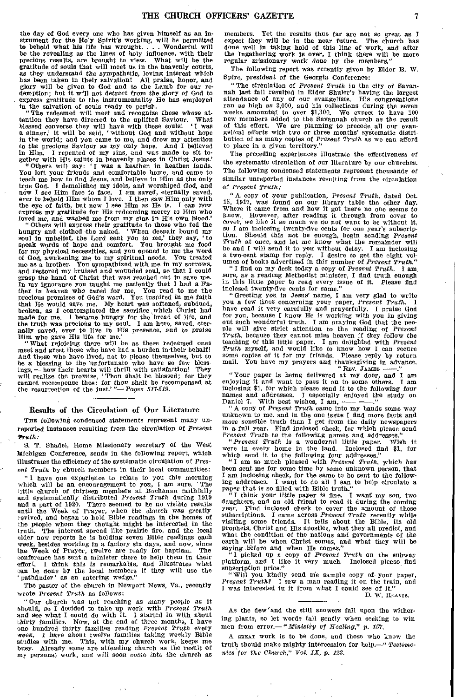the day of God every one who has given himself as an instrument for the Holy Spirit's working, will be permitted to behold what his life has wrought. . . . Wonderful will be the retooling as the lines of holy influence, with their precious results, are brought to view. What will be the gratitude of souls that will meet us in the heavenly courts, as they understand the sympathetic, loving interest which has been taken in their salvation! All praise, honor, and glory will be given to God and to the Lamb for our redemption; but it will not detract from the glory of God to express gratitude to the instrumentality He has employed . express gratitude to the instrumentality He has employed in the salvation of souls ready to perish.

"The redeemed will meet and recognize those whose at-tention they have directed to the uplifted Saviour. What blessed converse they will have with these souls! 'I was blessed converse they will have with these souls! T was<br>a sinner,' it will be said, 'without God and without hope in the world; and you came to me, and drew my attention to the precious *Saviour* as my only hope. And I believed in Him. I repented of my sins, and was made to sit together with His saints in heavenly places in Christ Jesus.' Others will say: ' I was a heathen in heathen lands. You left your friends and comfortable home, and came to teach me how to find Jesus, and believe in Him as the only true God. I demolished my idols, and worshiped God, and now I see Him face to face. I am saved, eternally saved, ever to behold Him whom I love. I then saw Him only With the eye of faith, but now I see Him as He is. I can now express my gratitude for His redeeming mercy to Him who loved me, and washed me from my sins in His own blood.' " Others will express their gratitude to those who fed the

hungry and clothed the naked. 'When despair bound my soul in unbelief, the Lord sent you to me,' they say, 'to speak words of hope and comfort. You brought me food for my physical necessities, and you opened to me the word of God, awakening me to my spiritual needs, You treated me as a brother. You sympathized with me in my sorrows, and restored my bruised and wounded soul, so that I could grasp the hand of Christ that was reached out to save me. In my ignorance you taught me patiently that I had a Father in *heaven* who cared for me. You read to me the precious promises of God's word. You inspired in me faith that He would save me. My heart was softened, subdued, broken, as I contemplated the sacrifice which Christ had made for me. I became hungry for the bread of life, and the truth was precious to my soul. I am here, saved, eter-nally saved, ever to live in His presence, and to praise Him who gave His life for me.'

" What rejoicing there will be as these redeemed ones meet and greet those who have had a burden in-their behalf! And those who have lived, not to please themselves, but to be a blessing to the unfortunate who have so few blessings, — how their hearts will thrill with satisfaction! They will realize the promise, 'Thou shalt be blessed cannot recompense thee: *for* thou shalt be recompensed at the resurrection of the just.'*"—Pages 517-519.* 

#### Results of the Circulation of Our Literature

THE following condensed statements represent many unreported instances resulting from the circulation of *Present*  Truth:

S. T. Shadel, Home Missionary secretary of the West *Michigan* Conference, sends in the following report, which illustrates the efficiency of the systematic circulation of *Present Truth* by church members in their local communities:

" I have one experience to relate to you this morning which will be an encouragement to you, I am sure. ' The little church of thirteen members at Buchanan faithfully and systematically distributed *Present Truth* during 1919 and a part of 1920. There seemed to be no visible results until the Week of Prayer, when the church was greatly revived, and began to hold Bible readings in the homes of the people whom they thought might be interested in the truth. The interest spread like prairie fire, and the local elder now reports he is holding seven Bible readings each week, besides working in a factory six days, and now, since<br>the Week of Praver, twelve are ready for haptism. The the Week of Prayer, twelve are ready for haptism. conference has sent a minister there to help them in their effort. I think this is remarkable, and illustrates what can be done by the local members if they will use the ' pathfinder' as an entering wedge."

The pastor of the church in Newport News, Va., recently wrote *Present Truth* as follows:

"Our church was not reaching as many people as it should, so I decided to take up work with *Present Truth* and see what I could do with it. I started in with about thirty families. Now, at the end of three months, I have one hundred thirty families reading *Present Truth* every week. I have *about* twelve families taking weekly Bible studies with me. This, with my church work, keeps me Already some are attending church as the result of my personal work, and will soon *come* into the church as

members. Yet the results thus far are not so great as I expect they will be in the near future. The church has done well in taking hold of this line of work, and after the Ingathering work is over, I think there will be more regular missionary work done by the members.

The following report was recently given by Elder B. W. Spire, president of the Georgia Conference:

"The circulation of *Present Truth* in the city of Savannah last fall resulted in Elder Shuler's having the largest attendance of any of our evangelists. His congregations ran as high as 3,000, and his collections during the seven weeks amounted to over \$1,300. We expect to have 100 new members added to the Savannah church as the result of this effort. We are planning to precede all our evangelical *efforts* with two *or* three months' systematic distribution of as many copies of *Present Truth* as we can afford to place in a given territory."

The preceding experiences illustrate the effectiveness of the systematic circulation of our literature by our churches. The following condensed statements represent thousands *of*  similar unreported instances resulting from the circulation of *Present Truth:* 

"A copy of your publication, *Present Truth,* dated Oct. 15, 1917, was found on our library table the other day. Where it came from and how it got there no one seems to know. However, after reading it through from cover to *cover,* we like it so much we do not want to be without it, so I am inclosing twenty-five cents for one year's subscrip-<br>tion. Should this not be enough, begin sending Present tion. Should this not be enough, begin sending *Present Truth,* at once, and let me know what the remainder will be and I will send it to you without delay. I am inclosing a two-cent stamp for reply. I desire to get the eight volumes of books advertised in this number of *Present Truth."* 

*"* I find on my desk today a copy of *Present Truth.* I am. sure, as a reading Methodist minister, I find truth enough in this little paper to read every issue of it. Please find inclosed twenty-five cents for same."

"Greeting you in Jesus' name, I am very glad to write you a few lines concerning your paper, *Present Truth.* I have read it very carefully and prayerfully. I praise God for you, because I know He is working *with you* in giving out such wonderful truth. I am praying God that the peo-ple will give strict attention to the reading of *Present Truth,* because they cannot miss heaven if they follow the teaching of this little paper. I am delighted with *Present Truth* myself, and would like to know how I can secure some copies of it for my friends. Please reply by return mail. You have my prayers and thauksgiving in advance. You have my prayers and thauksgiving in advance.  $"$ REV. JAMES  $"$ 

"Your paper is being delivered at my door, and I am enjoying it and want to pass it on to some others. I am inclosing \$1, for which please send it to the *following four*  names and addresses. I especially enjoyed the study on Daniel 7. With best wishes, I am, —————."<br>"A copy of *Present Truth* came into my hands some way

unknown to me, and in the one issue I find more facts and more sensible truth than I get from the daily newspapers in a full year. Find inclosed check, for which please send *Present Truth* to the following names and addresses."

*"Present Truth is* a wonderful little paper. Wish it were in every home in the land. Inclosed find \$1, for which send it to the following four addresses."

" I am so much pleased with *Present Truth,* which *has*  been sent me for some time by some unknown person, that I ant inclosing check, for the same to be sent to the follow-ing addresses. I want to do all I can to help circulate a paper that is so filled with Bible truth."

"I think your *little* paper is fine. I want my son, two daughters, and an old friend to read it during the coming year. Find inclosed check to cover the amount of these subscriptions. I came across *Present Truth* recently while visiting some friends. It tells about the Bible, its old prophets, Christ and His apostles, what they all predict, and what the condition of the nations and governments of the earth will be when Christ comes, and what they will be *saying* before and when He comes." " I picked up a copy of *Present Truth* on the subway

platform, and I like it very much. Inclosed please find subscription price."

" Will you kindly send me sample copy of your paper, Present Truth? I saw a man reading it on the train, and I saw a man reading it on the train, and I was interested in it from what I could see of it." D. W. REAVIS.

As the dew'and the still showers fall upon the withering plants, so let words fall gently when seeking to win men from error.—"Ministry *of Healing," p. 157.* 

A GREAT work is to be done, and those who know the truth should make mighty intercession for help.—" *Testimonies for the Church," Vol. IX,* p. 123.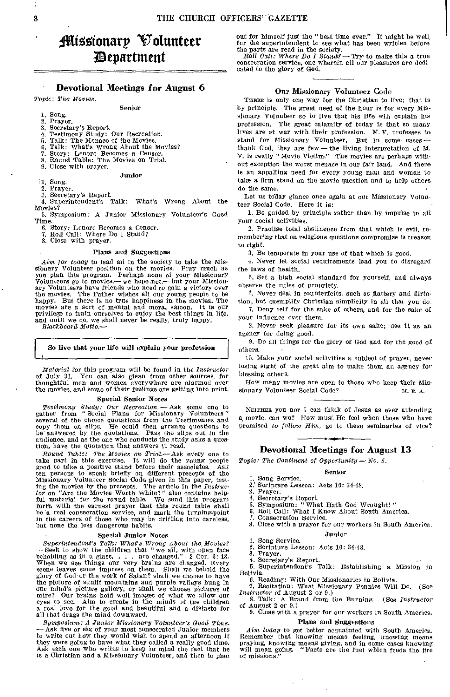# ii4gonarp Volunteer ;Department

# Devotional Meetings for August 6

## *Topic: The Movies.*  Senior

# 1. Song.<br>2. Praye

- 2. Prayer.
- 3. Secretary's Report.
- 4. Testimony Study: Our Recreation. 5. Talk: The Menace of the Movies.
- 6. Talk: What's Wrong About the Movies?
- 
- 7. Story: Lenore Becomes a Censor. 8, Round Table: The Movies on Trial.
- 9. Close with prayer.
- 

## 1. Song.

2, Prayer.

3, Secretary's Report.

4, Superintendent's Talk: What's Wrong About the Movies?

Junior

5. Symposium: A Junior Missionary Volunteer's Good Time.

6, Story: Lenore Becomes a Censor.

7. Roll Call: Where Do I Stand? 8. Close with prayer.

# Plans and Suggestions

*Aim for today* to lead all in the society to take the Mis-sipnary Volunteer position on the movies. Pray much as you plan this program. Perhaps none of your Missionary Volunteers go to movies,—we hope not,— but your Missionary Volunteers have friends who need to gain a victory over the movies. The Father wishes all our young people to be happy. But there is no true happiness in the movies. The movies are a sort of mental and moral saloon, It is our privilege to train ourselves to enjoy the best things in life, and until we do, we shall never be really, truly happy.

*Blackboard Motto.-* 

# So live that your life will explain your profession

*Material* for this program will be found in the *Instructor*  of July 31, You can also glean from other sources, for thoughtful men and women everywhere are alarmed over the movies, and some of their feelings are getting into print.

#### Special Senior Notes

Testimony Study: Our Recreation.  $-$  Ask some one to gather from "Social Plans for Missionary Volunteers" several of the choice quotations from the Testimonies and copy them on slips. He could then arrange questions to be copy them on slips. He could then arrange questions to be answered by the quotations. Pass the slips out in the audience, and as the one who conducts the study asks a question, have the quotation that answers it read.

Round Table: The Movies on Trial.—Ask every one to take part in this exercise. It will do the young people good to take a positive stand before their associates. Ask ten persons to speak briefly on different precepts of t ful material for the round table. We send this program forth with the earnest prayer that this round table shall be a real consecration service, and mark the turning-point in the careers of those who may be drifting into careless, but none the less dangerous habits.

### Special Junior Notes

*Superintendent's Talk: What's* Wrong' *About the Movies?*  - Seek to show the children that " we all, with open face beholding as in a glass, . . . are changed." 2 Cor. 3: 18. When we see things our very brains are changed. Every scene leaves some impress on them. Shall we behold the glory of God or the work of Satan? shall we choose to have the picture of sunlit mountains and purple valleys hung in our mind's picture gallery, or shall we choose pictures of mire? Our brains hold well images of what we allow our eyes to see, Aim to create in the minds of the children a real love for the good and beautiful and a distaste for all that drags the mind downward.

*Symposium: A Junior Missionary Volunteer's Good Time.*  — Ask five or six of your most consecrated Junior members<br>to write out how they would wish to spend an afternoon if<br>they were going to have what they called a really good time.<br>Ask each one who writes to keep in mind the f is a Christian and a Missionary Volunteer, and then to plan

out for himself just the "best time ever." It might be weil, for the superintendent to *see* what has been written before the parts are read in the society. *Roll Call: Where Do I Stand9-* Try to make this a true

consecration service, one wherein all our pleasures are dedicated to the glory of God.

# Our Missionary Volunteer Code

THERE is only one way for the Christian to live: that is by principle. The great need of the hour is for every Missionary Volunteer so to live that his life will explain his profession. The great calamity of today is that so many lives are at war with their profession, M. V. professes to stand for Missionary Volunteer. But in some casesthank God, they are few - the living interpretation of M. V. is really "Movie Victim." The movies are perhaps without exception the worst menace in our fair land. And there is an appalling need for every young man and woman to take a firm stand on the movie question and to help others do the same.

Let us today glance once again at our Missionary Volunteer Social Code. Here it is:

1. Be guided by principle rather than by impulse in all your social activities.

2. Practise total abstinence from that which is evil, remembering that on religious questions compromise is treason to right.

3. Be temperate in your use of that which is good.

4. Never let social requirements lead you to disregard the laws of health,

5. Set a high social standard for yourself, and always observe the rules of propriety.

6. Never deal in counterfeits, such as flattery and flirtation, but exemplify Christian simplicity in all that you do.

7. Deny self for the sake of others, and for the sake of Your influence over them.

8. Never seek pleasure for its own sake; use it as an agency for doing good.

9. Do all things for the glory of God and for the good of others.

10. Make your social activities a subject of prayer, never losing sight of the great aim to make them an agency for blessing others.

How many movies are open to those who keep their Missionary Volunteer Social Code? M. E. A.

NEITHER you nor I can think of Jesus as ever attending a movie, can we? How must He feel when those who have Promised to *follow Him,* go to these seminaries of vice?

# Devotional Meetings for August 13

Senior

*Topic: The Continent of Opportunity - No. 5.* 

- 1, Song Service.
- Scripture Lesson: Acts 10: 34-48. 2, Prayer.
- 4. Secretary's Report.
- 5. Symposium: " What Hath God Wrought! "
- 6. Roll Call: What I Know About South America.<br>7. Consecration Service
- 7. Consecration Service.<br>8. Close with a prayer for
	- Close with a prayer for our workers in South America.

### Junior

1. Song Service. 2. Scripture Lesson: Acts 10: 34-48.

3. Prayer.

4. Secretary's Report.

5. Superintendent's Talk: Establishing a Mission *in* 

Bolivia. 6. Reading: With Our Missionaries in Bolivia

7. Recitation: What Missionary Pennies Will Do. (See *Instructor* of August 2 or 9.)

8. Talk: A Brand from the Burning. (See *Instructor*  of August 2 or 9.)

# 9. Close with a prayer for our workers in South America. Plans and Suggestions

*Aim today* to get better acquainted with South America. Remember that knowing means feeling, knowing means praying, knowing means giving, and in some cases knowing will mean going. "Facts are the fuel which feeds the fire of missions."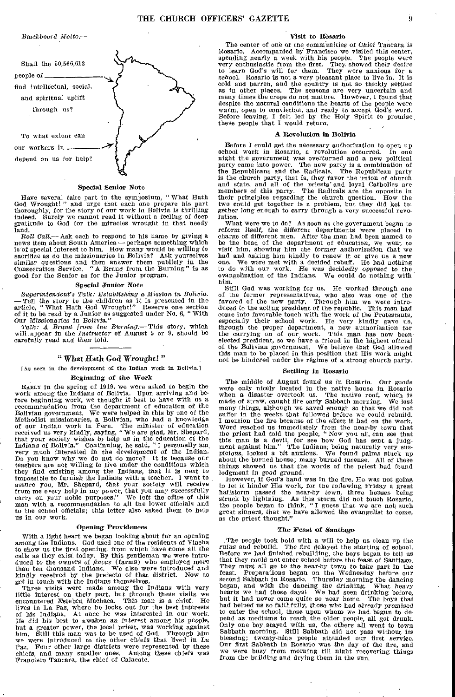*Blackboard Motto.—* 



# Special Senior Note

Have several take part in the symposium, " What Hath God Wrought! " and urge that each one prepare his part thoroughly, for the story of our work in Bolivia is thrilling indeed. Surely we cannot read it without a feeling of deep gratitude to God for the miracles wrought in that needy land.

Roll Call.— Ask each to respond to his name by giving a news item about South America — perhaps something which is'of special interest to him. How many would be willing to sacrifice as do the missionaries in Bolivia? Ask yourselves similar questions and then answer them publicly in the Consecration Service. "A Brand front the Burning" is as good for the Senior as for the Junior program.

#### Special Junior Note

*Superintendent's Talk: Establishing a Mission in Bolivia. —Tell* the story to the children as it is presented in the article, "What Hath God Wrought!" Reserve one section of it to be read by a Junior as suggested under No. 6, "With

Our Missionaries in *Bolivia." Talk: A Brand from the Burning.—* This story, which will.appear in the *Instructor* of August 2 or 9, should be carefully read and then told.

# " What Hath God *Wrought! "*

lAs seen in the development of the Indian work in Bolivia.]

### Beginning of the *Work*

EARLY in the spring of 1919, we were asked to begin the work among the Indians of Bolivia. Upon arriving and before beginning work, we thought it best to have with us a recommendation from the department of education of the Bolivian government. We were helped in this by one of the Methodist missionaries, a Bolivian, who had a knowledge of our Indian work in Peru. The minister of education received us very kindly, saying, "We are glad, Mr. Shepard, that your society wishes to help us in the education of the Indians of Bolivia." Continuing, he said, " I personally am, very much interested in the development of the Indian. Do you know why we do not do more? It is because our teachers are not willing to live under the conditions which they find existing among the Indians, that it is next to impossible to furnish the Indians with a teacher. I want to assure you, Mr. Shepard, that your society will receive from me every help in my power, that you may successfully carry on your noble purposes." We left the offic to the school officials; this letter also asked them to help us in our work.

#### Opening Providences

With a light heart we began looking about for an opening among the Indians. God used one of the residents of Viacha to show us the first opening, from which have come all the calls as they exist today. By this gentleman we were introduced to the owners of *fincas* (farms) who employed more than ten thousand Indians. We also were introduced and kindly received by the prefecto of that district. N *get in touch with* the Indians themselves.

Three visits were made among the Indians with very little interest on their part, but through these visits we encountered Esteben Machaea. This man is a chief. He lives in La Paz, where he looks out for the best interests of his Indians. At once he was interested in our work. drives in the did his best to awaken an interest among his people, He did his best to awaken an interest among his people, but a greater power, the local priest, was working against him. Still this man was to be used of God. Through him we were introduced to the other chiefs that lived in La Paz. Four other large districts were represented by these chiefs, and many smaller ones. Among these chiefs was Francisco Tancara, the chief of Calacoto.

# Visit to Rosario

The center of one of the communities of *Chief* Tancara 'is Rosario. Accompanied by Francisco we visited this center, spending nearly a week with his people. The people were very enthusiastic from the first. They showed their desire to learn God's will for them. They were anxious for a school. Rosario is not a very pleasant place to live in. It is cold and barren, and the country is not so thickly settled as in other places. The seasons are very uncertain and many times the crops do not mature. However, I found that despite the natural conditions the hearts of the people were warm, open to conviction, and ready to accept God's word. Before leaving, I felt led by the Holy Spirit to promise, these people that I would return.

#### A Revolution in Bolivia

Before I could get the necessary authorization to open up school work in Rosario, a revolution occurred. In one night the government was overturned and a new political party came into power. The new party is a combination of the Republicans and the Radicals. The Republican party<br>is the church party, that is, they favor the union of church<br>and state, and all of the priests and loyal Catholics are<br>members of this party. The Radicals are the oppo two could get together is a problem, but they did get to-gether long enough to carry through a very successful revolution.

What were we to do? As soon as the government began to reform itself, the different departments were placed in charge of different men. After the man had been named to be the head of the department of education, we went to visit him, showing him the former authorization that we had and asking him kindly to renew it or give us a new one. We were met with a decided rebuff. He had nothing to convition of with our work. He was decidedly opposed

Still God was working for us, He worked through one of the former representatives, who also was one of the favored of the new party. Through him we were introduced to the acting president of the republic. This man had<br>come into favorable touch with the work of the Protestants,<br>especially their school work. He very kindly gave us,<br>through the proper department, a new authorizati not be hindered under the regime of a strong church party.

# Settling in Rosario

The middle of August found us in Rosario. Our goods were only nicely located in the native house in Rosario when a disaster overtook us. The native roof, which is made of straw, caught fire early Sabbath morning. We lost many things, although we saved enough so that we did not suffer in the weeks that followed before we could rebuild. I mention the fire because of the effect it had on the work. Word reached us immediately from the near-by town that<br>the priest had told the people, "Now you all can see that<br>this man is a devil, for see how God has sent a judg-<br>ment against him." The Indians, being naturally very su about the burned house; many burned incense. All of these things showed us that the words of the priest had found lodgment in good *ground.* 

However, if God's hand was in the fire, He was not going to let it hinder His work, for the following Friday a great hailstorm passed the near-by town, three houses being struck by lightning. As this storm did not touch Rosario, the people began to think, "I guess that we are not such great sinners, that we have allowed the evangelist to come, as the priest thought."

#### The *Feast of Santiago*

The people took hold with a will to help us clean up the ruins and rebuild. The fire delayed the starting of school. The fire delayed the starting of school. Before we had finished rebuilding, the boys began to tell us that they could not enter school before the feast of Santiago. They must all go to the near-by town to take part in the feast. Preparations began on the Wednesday before our second Sabbath in Rosario. Thursday morning the dancing began, and with the dancing the drinking. What heavy hearts we had those days! We had seen drinking before, but it had never come quite so near home. The boys that had helped us so faithfully, those who had already promised to enter the school, those upon whom; we had begun to depend as mediums to reach the older people, all got drunk. Only one boy stayed with us, the others all went to town<br>Sabbath morning. Still Sabbath did not pass without its<br>blessing; twenty-nine people attended our first service.<br>Our first Sabbath in Rosario was the day of the fire we were busy from morning till night recovering things from the building and drying them in the sun.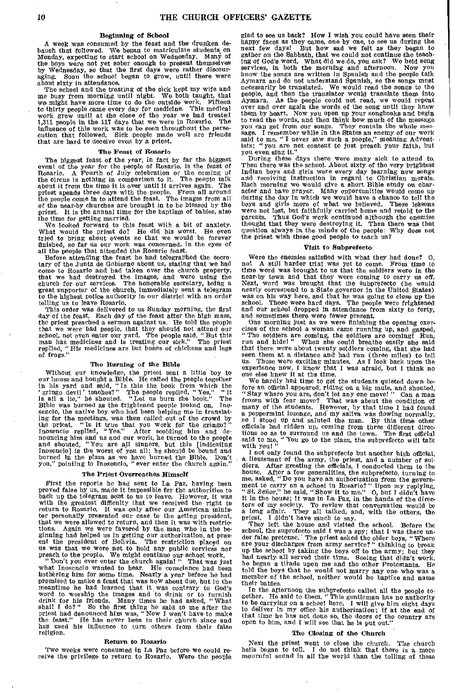# **Beginning of School**

A week was consumed by the feast and the drunken debauch that followed. We began to matriculate students on Monday, expecting to start school on Wednesday. Many of the boys were not yet sober enough to present themselves by Wednesday, so that the first days were rather discour-aging. Soon the school began to grow, until there were about sixty in attendance.

The school and the treating of the sick kept my wife and me busy from morning until night. We both taught, that we might have more time to do the outside work. Fifteen to thirty people came every day for medicine. This medical work grew until at the close of the year we had treated 1,311 people in the 117 days that we were in Rosario. The influence of this work was to be seen throughout the persecution that followed. Sick people made well are fr that are hard to deceive even by a priest.

#### **The Feast of Rosario**

The biggest feast of the year, in fact by far the biggest event of the year for the people of Rosario, is the feast of Rosario. A Fourth of July celebration or the coming of the circus is nothing in comparison to it. The people talk about it from the time it is over until it arrives again. The priest Spends three days with the people. From all around the people come in to attend the feast. The images from all of the near-by churches are brought in to be blessed by the priest. It is the annual time for the baptism of babies, also the time for getting married.

We looked forward to this feast with a bit of anxiety. What would the priest do? He did his worst. He even tried to bring about events so that we would be forever finished, so far as our work was concerned, in the eyes of all the people that attended the Rosario feast

Before attending the feast he had telegraphed the secretary of the Junta de Gobierno about us, stating that we had come to Rosario and had taken over the church property, that we had destroyed the images, and were using the church for our services. The honorable secretary, being a great supporter of the church, immediately sent a telegram to the highest poilee authority in our district with telling us to leave Rosario.

This order was delivered to us Sunday morning, the first day of the feast. Each day of the feast after the high mass, day of the feast. Each day of the feast after the high mass, the priest preached a sermon against us. He told the people that we were bad people, that they should not attend our school, not even enter our yard. The people of frogs."

# **The Burning of the Bible**

Without our knowledge, the priest sent a little boy to our house and bought a Bible. He called the people together<br>in his yard and said, "Is this the book from which the<br>'gringo devil' teaches?" The people replied, "Yes," "It<br>is ail a lie," hé shouted. "Let us burn the book." ing for the meetings, was then called out of the crowd by the priest. "Is it true that you work for the gringo?" Inosencio replied, "Yes." After scolding him and de-nouncing him and us and our work, he turned to the people and shouted, "You are all sinners, but this [indicating Inosencio] is the worst of you all; he should be bound and burned in the plaza as we have burned the Bible. Don't you," pointing to Inosencio, " ever enter the church again."

## **The Priest Overreaches Himself**

First the reports he had sent to La Paz, having been proved false by us, made it impossible for the authorities to back up the telegram sent to us to leave. However, it was with the greatest difficulty that we received the right to return to Rosario. It was only after our Am ter personally presented our case to the acting president, that we were allowed to return, and then it was with restric-tions. Again we were favored by the man who in the beginning had helped us in getting our authorization, at pres-ent the president of Bolivia. The restriction placed on us was that we were not to hold any public services nor

preach to the people. We might continue our school work.<br>"Don't you ever enter the church again!" That was just what Inosencio wanted to hear. His conscience had been bothering him for some time. Nearly a year before he had promised to make a feast that was now about due, but in the meantime he had learned that it was contrary to God's<br>word to worship the images and to drink or to furnish<br>drink for his friends. Many times he had asked, "What<br>shall I do?" So the first thing he said to me after the<br>prie religion.

#### **Return to Rosario**

Two weeks were consumed in La Paz before we **could re**ceive the privilege to return to Rosario.

glad to see us back? How I wish you could have seen their happy faces as they came, one by one, to see us during the next few days! But how sad we felt as they began to gather on the Sabbath, that we could not continue the teaching of God's word. What did we do, you ask? We held song services, in both the morning and afternoon. Now you know the songs are written in Spanish and the people talk Aymara and do not understand Spanish, so the songs must necessarily be translated. We would read the songs to the people, and then the translator would translate them into Aymara. As the people could not read, we would repeat over and over again the words of the song until they knew them by heart. Now you open up your songbooks and begin<br>to read the words, and then think how much of the message<br>you can get from our songs. They contain the whole message. I remember while in the States an enemy of our w said to me, "I never saw such a people," meaning Adventists; " you are not content to just preach your faith, but You even sing it"

During these days there were many sick to attend to. Then there *was* the school. About sixty of the very brightest Indian boys and girls were every day learning new songs and receiving instruction in regard to Christian morals. Each morning we would give a short Bible study on character and have prayer. Many opportunities would come up during the day in which we would have a chance to tell the boys and girls more of what we believed. These ieksons were not lost, but faithfully carried home and retold to the parents. Thus God's work continued although the enemies thought that they were destroying it. Then there was that question always in the minds of the people: Why does not the priest wish these good people to teach us?

#### **Visit to Subprefecto**

Were the enemies satisfied with what they had done? 0, no! A still harder trial was yet to come. From time to time word was brought to us that the soldiers were in the near-by town and that they were coming to carry us off. Next, word was brought that the subprefecto (he would nearly correspond to a State governor in the United States) was on his way here, and that he was going to close up the school. Those were hard days. The people were frightened and our school dropped in attendance from sixty to forty, and sometimes there were fewer present.

One morning just as we were finishing the opening exercises of the school a woman came running up, and gasped, " The soldiers are coming, the soldiers are coming! Run, run and hide! " When she could breathe easily she said that there were about twenty soldiers coming, that she had<br>seen them at a distance and had run (three miles) to tell<br>us. Those were exciting minutes. As I look back upon the<br>experience now, I know that I was afraid, but I

We hardly had time to get the students quieted down before an official appeared, riding on a big mule, and shouted, " Stay where you are, don't let any one move! " Can a man frozen with fear move? That was about the condition of many of the students. However, by that time I had found a peppermint lozenge, and my saliva was flowing normally, so I stood up and saluted the man. By this time other officials had ridden up, coming from three different directions so as to surround us and the town. The first official said to me, "You go to the plaza, the subprefecto will talk with you! "

I not only found the subprefecto but another high official, a lieutenant of the army, the priest, and a number of sol-diers. After greeting the officials, I conducted them to the house. After a few generalities, the subprefecto, turning to me, asked, "Do you have an authorization from the government to carry on a school in Rosario?" Upon my replying, "Si, Señor," he said, "Show it to me." O, but I tors of my society. To review that conversation would be a long affair. They all talked, and, with the others, the priest. I didn't have much to say.

They left the house and visited the school. Before the school, the suprefecto said I was a spy; that I was there un-der false pretense. ' The priest asked the older boys, "Where are your discharges from army service?" thinking to break up the school by taking the boys off to the army; but they had nearly all served their time. Seeing that didn't work, he began a tirade upon me and the other Protestants. He told the boys that he would not marry any one who was a member of the school, neither would he baptize and name their babies.

In the afternoon the subprefecto called all the people to-<br>gether. He said to them, "This gentleman has no authority to be carrying on a school here. I will give him eight days to deliver in my office his authorization; if at the end of that time he has not done so, the doors of the country are open to him, and I will see that he is put out."

# **The Closing of the Church**

Next the priest went to close the church. The church bells began to toll. I do not think that there is a more mournful sound in all the world than the tolling of these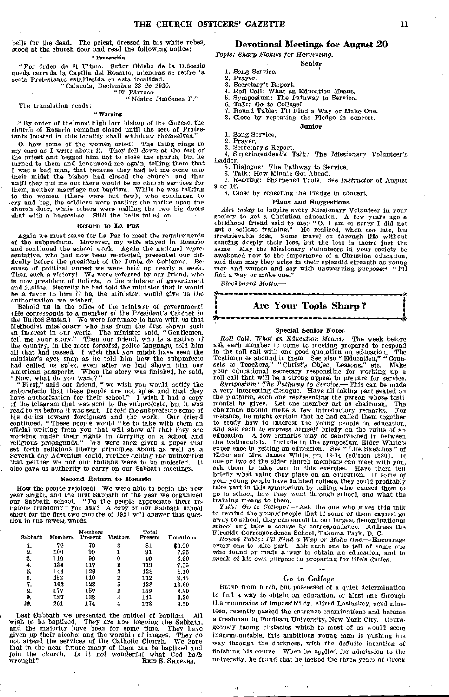bells for the dead. The priest, dressed in bis white robes, stood at the church door and read the following notice: " Prevención

"Por órden de él Ultmo. Señor Obisbo de la Diócesis queda cerrada la Capilla del Rosario, mientras se retire la sesta Protestante establecida en esta localidad. "Calacota, Deciembre 22 de 1920. "El Parroco

"Ndstro Jimeenes F."

# The translation reads:

# " Warning

"By order of the'most high lord bishop of the diocese, the church of Rosario remains closed until the sect of Protes-tants located in this locality shall withdraw themselves."

O, how some of the women cried! The thing rings in my ears as I write about it. They fell down at the feet of the priest and begged him, not to close the church, but he turned to them and denounced me again, telling them that I was a bad man, that because they had let me come into their midst the bishop had closed the church, and that until they put me out there would be no church services for them, neither marriage nor baptism,. While he was talking to the women (there were but few), who continued to cry and beg, the soldiers were pasting the notice upon the church door, while others were nailing the two big doors shut with a horseshoe. Still the bells tolled on.

# Return to La Paz

Again we must leave for La Paz to meet the requirements of the subprefecto. However, my wife stayed in Rosario and continued the school work. *Again the national* representative, who had now been re-elected, presented our dif-ficulty before the president of the Junta. de Gobienno. Because of political unrest we were held up nearly a week. Then such a victory! We were referred by our friend, who<br>is now president of Bolivia, to the minister of government<br>and justice. Secretly he had told the minister that it would<br>be a favor to him if he, the minister, would

Behold us in the office of the minister of government! (He corresponds to a member *of* the President's Cabinet in the United States.) We were fortunate to have with us that Methodist missionary who has from the first shown such an interest in our work. The minister said, "Gentlemen, an interest in our work. The minister said, "Gentlemen, tell me your story." Then our friend, who is a native of the country, in the most forceful, polite language, told him all that had passed. I wish that you might have seen the minister's eyes snap as he told him how the subprefecto had called us spies, even after we had shown him our American passports. When the story was finished, he said, "Now, what do you want?" "First,' said our friend, "we wish you would notify the

subprefecto that these people are not spies and that they have authorization for their school." I wish I had a copy of the telegram that was sent to the subprefecto, but it was read to us before it was sent. It told the subprefecto some of his duties toward foreigners and the work. Our friend continued, "These people would like to take with them an official writing from you that will show all tha working under their rights in carrying on a school and religious propaganda." We were then given a paper that set forth religious liberty principles about as well as a Seventh-day Adventist could, further teiling the autho that neither we nor our Indians were to be molested. also gave us authority to carry on our Sabbath meetings.

## Second Return to Rosario

How the people rejoiced! We were able to begin the new year aright, and the first Sabbath of the year we organized our Sabbath school. "Do the people appreciate their religious freedom?" you *ask?* A copy *of* our Sabbath school chart for the first two months of 1921 will answer this question in the fewest words.

| Sabbath | Members | Members<br>Present | Visitors | Total<br>Present | Donations |
|---------|---------|--------------------|----------|------------------|-----------|
| 1.      | 79      | 79                 | 2        | 81               | \$3.00    |
| 2.      | 100     | 90                 |          | 91               | 7.95      |
| 3.      | 119     | 99                 | 0        | 99               | 6.60      |
| 4.      | 134     | 117                | 2        | 119              | 7.55      |
| 5.      | 144     | 126                | 2        | 128              | 8.10      |
| 6.      | 153     | 110                | 2        | 112              | 8.46      |
| 7.      | 162     | 123                | 5        | 128              | 13.60     |
| 8.      | 177     | 157                | 2        | 159              | 8.30      |
| 9.      | 187     | 138                | 3        | 141              | 9.20      |
| 10.     | 201     | 174                | 4        | 178              | 9.50      |

Last Sabbath we presented the subject of baptism. All wish to be baptized. They are now keeping the Sabbath, and the majority have been for some time. They have given up their alcohol and the worship of images. They do not attend the services of the Catholic Church. We hope that in the near future many of them can be baptized and join the church. Is it not wonderful what God hath wrought?<br>REID S. SHEPARD.

# Devotional Meetings for August 20

*Topic: Sharp Sickles for Harvesting.* 

Senior

- *1. Song* Service.
- 2. Prayer.
- 3. Secretary's Report.
- 4. Roll Call: What an Education Means. 6. Symposium: The Pathway to Service.
- 6. Talk: *Go* to College!
- 
- 7. Round Table: I'll Find a Way or Make One. 8. Close by repeating the Pledge in concert.
	- Junior

- 1. Song Service. Prayer.
- 

3. Secretary's Report. 4. Superintendent's Talk: The *Missionary* Volunteer's Ladder.

- 6. Dialogue: The Pathway to Service.
- 

6. Talk: How Minnie Got Ahead. 7. Reading: Sharpened Tools. See *Instructor* of August or 16,

# 8. Close by repeating the Pledge in concert.

# Plans *and* Suggestions

*Aim today* to inspire every Missionary Volunteer in your society to get a Christian education. A few years ago a childhood friend said to me:' "0, I am so sorry I did not get a college training." He realized, when too late, his irretrievable loss. Some travel on through life without sensing deeply their loss, but the loss is theirs just the same. May the MisSionary Volunteers in your society be awakened now to the importance of a Christian education, and then may they arise in their splendid strength as young men and women and say with unswerving purpose: " I'll men and women and say with unswerving purpose:<sup>4</sup><br>find a way or make one."

*Blackboard Motto.-* 



#### Special Senior Notes

*Roll Call: What* an *Education Means.-* The week before ask each member to come to meeting prepared to respond in the roll call with one good quotation on education. The Testimonies abound in them. See also "Education," "Coun-sels to Teachers," "Christ's Object Lessons," etc. Make your educational secretary responsible for working up a

roll call that will be a strong appeal to prepare for service. *Symposium: The Pathway to Service.-* This can be made a very interesting dialogue. Have all taking part seated on the platform, each one representing the person whose testimonial he gives. Let one member act as chairman. The chairman should make a few introductory remarks. For instance, he might explain that he had called them together to study how to interest the young people in education, and ask each to express himself briefly on the value of an education. A few remarks may be sandwiched in between the testimonials. Include in the symposium Elder White's experience in getting an education. See "Life Sketches" of Elder and Mrs. James White, pp. 12-14 (edition 1880). If one or *two of* the older church members can meet with you, ask them to take part in this exercise. Have them tell briefly what value they place on an education. If some of your young people have finished college, they could profitably take part in this symposium by telling what caused them to *go to* school, how they went through school, and what the training means to them.

*Talk: Go to College!* - Ask the one who gives this talk to remind the young'people that if some of them cannot go away to school, they can enroll in our largest denominational *school and* take a course by correspondence. Address the Fireside Correspondence School, Takoma Park, D. C. Round Table: *I'll Find* a Way or *Make One.-Encourage* 

every one to take part. Ask each one to tell of some one who found or made a way to obtain an education, and to speak of his own purpose in preparing for life's duties.

#### Go to College

BLIND from birth, but possessed of a quiet determination to find a way to obtain an education, or blast one through the mountains of impossibility, Alfred Losinskey, aged nineteen, recently passed the entrance examinations and became a freshman in Fordham University, New York City. Courageously facing obstacles which to most of us would seem insurmountable, this ambitious young man is pushing his way through the darkness, with the definite intention of finishing his course. When he applied for admission to the university, he found that he lacked the three years of Greek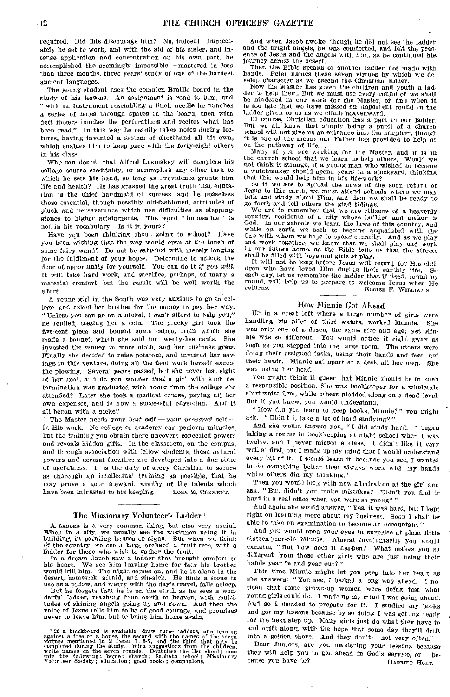required. Did this discourage him? No, indeed! Immediately he set to work, and with the aid of his sister, and intense application and concentration on his own part, he accomplished the seemingly Impossible—mastered in less than three months, three years' study of one of the hardest ancient languages.

The young student uses the complex Braille board in the study of his lessons. An assignment is read to him, and with an instrument resembling a thick needle he punches a series of holes through spaces in the board, then with deft fingers touches the perforations and recites what has been read." In this way he readily takes notes during lectures, having invented a system of shorthand all his own, which enables him to keep pace with the forty-eight others in his class.

Who can doubt that Alfred Losinskey will complete his college course creditably, or accomplish any other task to which he sets his hand, so long as Providence grants him life and health? He has grasped the great truth that education is the chief handmaid of success, and he possesses those essential, though possibly old-fashioned, attributes of pluck and perseverance which use difficulties as steppingstones to higher attainments. The word " impossible " is not in his vocabulary. Is it in yours?

Have you been thinking about going to school? Have you been wishing that the way would open at the touch of some fairy wand? Do not be satisfied with merely longing for the fulfilment of your hopes. Determine to unlock the door of, opportunity for yourself. You can do it *if you will.*  It will take hard work, and sacrifice, perhaps, of many a material comfort, but the result will be well worth the effort.

A young girl in the South was very anxious to go to college, and asked her brother for the money to pay her way. "Unless you can go on a nickel, I can't afford to help you," he replied, tossing her a coin. The plucky girl took the five-cent piece and bought some calico, from which she made a bonnet, which she sold for twenty-five cents. She invested the money in more cloth, and her business grew. Finally she decided to raise potatoes, and invested her savings in this venture, doing all the field work herself except the plowing. Several years passed, but she never lost sight of her goal, and do you wonder that a girl with such determination was graduated with honor from the college she attended? Later she took a medical course, paying all her own expenses, and is now a successful physician, And it all began with a nickel!

The Master needs your *best* self — your *prepared self in* His work. No college or academy can perform miracles, but the training you obtain there uncovers concealed powers and reveals hidden gifts. In the classroom, on the campus, and through association with fellow students, these natural powers and normal faculties are developed into a fine state of usefulness. It is the duty of every Christian to secure as thorough an intellectual training as possible, that he may prove a good steward, worthy of the talents which have been intrusted to his keeping. LORA E. CLEMENT.

# The Missionary Volunteer's Ladder'

A. LADDER is a very common thing, but also very useful. When in a city, we usually see the workmen using it in building, in painting houses or signs. But when we think of the country, we see a large orchard, a fruit tree, with a ladder for those who wish to gather the fruit.

In a dream Jacob saw a ladder that brought comfort to his heart. We see him leaving home for fear his brother would kill him. The night comes on, and he is alone in the desert, homesick, afraid, and sin-sick. He finds a stone to use as a pillow, and weary with the day's travel, falls asleep.<br>But he forgets that he is on the earth as he sees a won-

derful ladder, reaching from earth to heaven, with multitudes of shining angels going up and down. And then the voice of Jesus tells him to be of good courage, and promises never to leave him, but to bring him home again.

And when Jacob awoke, though he did not see the ladder and the bright angels, he was comforted, and felt the presence of Jesus and the angels with him, as he continued his journey across the desert.

Then the Bible speaks of another ladder not made with hands. Peter names these seven virtues by which we dehands. Peter names these seven virtues by which we de-velop character as we ascend the Christian ladder.

Now the Master has given the children and youth a ladder to help them. But we must use every round or we shall be hindered in our work for the Master, or find when it is too late that we have missed, an important round in the

ladder given to us as we climb heavenward.<br>
Of course, Christian education has a part in our ladder.<br>
But we all know that simply being a pupil of a church<br>
school will not give us an entrance into the kingdom, though it is one of the means our Father has provided to help us on the pathway of life.

Many of you are working for the Master, and it is in the church school that we learn to help others. Would we not think it strange, if a young man who wished to become a watchmaker should spend years in a stockyard, thinking that this would help him in his life-work? So if we are to spread the news of the Aoon return of Jesus to this earth, we must attend schools where we may

talk and study about Him, and then we shall be ready to go forth and tell others the glad tidings.

We are to remember that we are citizens of a heavenly country, residents of a city whose builder and maker is God. In our schools we learn the laws of this country, and while on earth we seek to become acquainted with the One with whom we hope to spend eternity. And as we play and work together, we know that we shalt play and work in our future home, as the Bible tells us that the streets shall be filled with boys and girls at play.

It will not be long before Jesus will return for His children who have loved Him during their earthly life. So each day, let us remember the ladder that if used, round by round, will help us to prepare to welcome Jesus when He returns. Etorse F. WILLIAMS,

# How Minnie Got Ahead

Dr in a great loft where a large number of girls were handling big piles of shirt waists, worked Minnie. She was only one of a dozen, the same size and age; yet Minnie was so different. You would notice it right away as soon as you stepped into the large room. The others were doing their assigned tasks, using their hands and feet, not their heads. Minnie sat apart at a desk all her own. She was using her head.

You might think it queer that Minnie should be in such a responsible position. She was bookkeeper for a wholesale shirt-waist firm, while others plodded along on a dead level. But if you knew, you would understand.

"How did you learn to keep books, Minnie?" you might ask. "Didn't it take a lot of hard studying?"

And she would answer you, " I did study hard. I began taking a course in bookkeeping at night school when I was twelve, and I never missed a class. I didn't like it very well at first, but I made up my mind that I would understand every bit of it. I would learn it, because you see, I wanted to do something better than always work with my hands while others did my thinking."

Then you would look with new admiration at the girl and ask, "But didn't you make mistakes? Didn't you find it hard in a real office when you were so young?"

And again she would answer, " Yes, it was hard, but I kept right on learning more about my business. Soon I shall be able to take an examination to become an accountant."

And you would open your eyes in surprise at plain little sixteen-year-old Minnie. Almost involuntarily you would exclaim, " But how does it happen? What makes you so different from those other girls who are just using their hands year in and year out?"

This time Minnie might let you peep into her heart as she answers: "You see, I looked a long way ahead. I noticed that some grown-up women were doing just what young girls could do. I made up my mind I was going ahead. And so I decided to prepare for it. I studied my books and got my lessons because by so doing I was getting ready for the next step up. Many girls just do what they have to and drift along, with the hope that some day they'll drift into a golden shore. And they don't --- not very often."

Dear Juniors, are you mastering your lessons because they will help you to get ahead in God's service,  $or - be$ cause you have to? HARRIET HOLT.

<sup>&</sup>lt;sup>1</sup> If a blackboard is available, draw three ladders, one leaning against a tree or a house, the second with the names of the sven with the available virtues mentioned in 2 Peter 1:5-7, and the third that may be completed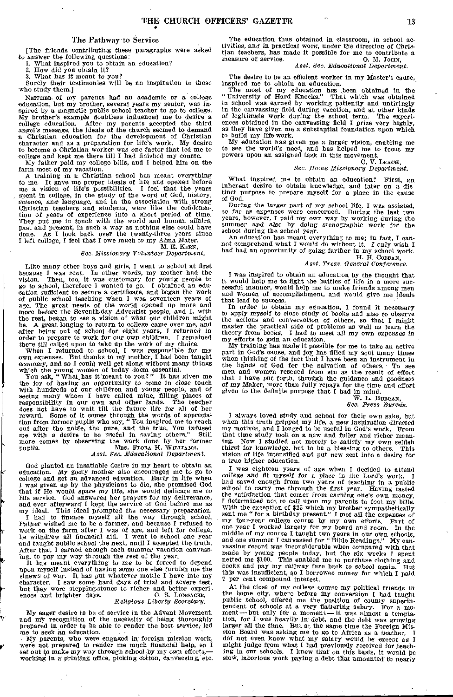# The Pathway to Service

[The friends contributing these paragraphs were asked to answer the following questions: 1. What inspired you to obtain an education?

2. How did you obtain it?<br>2. What has it meant to

3, What *has it meant* to you?

Surely their testimonies will be an inspiration to those who study them.]

NEITHER of my parents had an academic or a college education, but my brother, several years my senior, was inspired by a magnetic public school teacher to go to college. My brother's example doubtless influenced me to desire a college education. After my parents accepted the third angel's *message,* the ideals of the church seemed to demand a Christian education for the development of Christian character and as a preparation for life's work. My desire to become a Christian worker was one factor that led me to -college and kept me there till I had finished my course.

My father paid my college bills, and I helped him on the farm most of my vacation.

A training in a Christian school has meant everything to me, It gave me proper ideals of life and opened before me a vision of life's possibilities. I feel that the years spent in college, in the study of the word of God, history, science, and language, and in the association with strong Christian teachers and students, were like the condensation of years of experience into a short period of time. They put me in touch *with* the world and human affairs, past and present, in such a way as nothing else could have done. As I look back over the twenty-three years since I left college, I feel that I owe much to my Alma Mater. M. E. KERN,

# *Sec. Missionary* Volunteer *Department.*

Like many other boys and girls, I went to school at first because I was *sent.* In other words, my mother had the vision. Then, too, it was customary for young people to go to school, therefore I wanted to go. I obtained an education *sufficient to secure* a certificate, and began the work of public school teaching when I was seventeen years of age. The great needs of the world opened up more and more before the Seventh-day Adventist people, and I, with the rest, began to see a vision of what our children might be. A great longing to return to college came over me, and after being out of school for eight years, I returned *in*  order to prepare to work for our own children. I remained

there till called upon to take up the work of my choice. When I returned to school, I was responsible for my own expenses. But thanks to my mother, I had been taught economy, and so I could well get along without many things which the young women of today deem essential.<br>You ask, "What,has it meant to you?" It has given me

the joy of having an opportunity to come in close touch with hundreds of our children and young people, and of seeing many whom I have called mine, filling places of responsibility in our own and other lands. The teacher does not have to wait till the future life for all of her more comes by observing the work done by her former pupils. MRS. FLORA H. WILLIAMS, *Asst. Sec. Educational Department*.

God planted an insatiable desire in my heart to obtain an education. My *godly* mother also encouraged me to go to college and get an advanced education. Early in life when I was given up by the physicians to die, she promised God that if He would spare my life, she would dedicate me to His service. God answered her prayers for my deliverance, and ever afterward I kept the service of God before me as my ideal. This ideal prompted the necessary preparation. I had to finance myself all the way through school. Father wished me to be a farmer, and because I refused to work on the farm after I was of age, and left for college, he withdrew all financial aid. I went to school one year and taught public school the next, until I accepted the truth. After that I earned enough each summer vacation canvass-ing, to pay my way through the rest of the year.

It has meant everything *to* me to be *forced* to depend upon myself instead of having some one else furnish me the sinews of war. It has put whatever mettle I have into my character. I saw some hard days of trial and severe test, but they were stepping-stones to richer and bett ences and brighter days. C. S. Longacke,

#### *Religious Liberty Secretary.*

My eager desire to be of service in the Advent Movement, and my recognition of the necessity of being thoroughly prepared in order to be able to render the best service, led

me to seek an education. My parents, who were engaged in foreign mission work, were not prepared to render me much financial help, so I set out to make *my* way through school by my own efforts,—<br>working in a printing office, picking cotton, canvaesing, etc.

The education thus obtained in classroom, in school activities, and in practical work, under the direction of *Chris*tian teachers, has made it possible for me to contribute a measure of service.  $0. M. Jofiv.$ measure of service.

# *Asst. Sec. Educational Department.*

The desire to be an efficient worker in my Master's cause,

inspired me to obtain an education. The most of my education has been obtained in the " University of Hard Knocks?' That which was obtained in school was earned by working patiently and untiringly in the canvassing field during vacation, and at other kinds of legitimate work during the school term. The experiences obtained in the canvassing field I prize very highly, as they have given me a substantial foundation up

My education has given me a larger vision, enabling me to see the world's need, and has helped me to focus my powers upon an assigned task in this movement.

# C. V. LEACH, *Sec. Home Missionary Department.*

What inspired me to obtain an education? First, an inherent desire to obtain knowledge, and later on a distinct purpose to prepare myself for a place in the cause of God.

During the larger part of my school life, I was assisted, so far as expenses were concerned. During the last two years, however, I paid my own way by working during the summer and also by *doing* stenographic *work* for the school during the school year.

An education has meant everything to me; in fact, I can-not comprehend what I would do without it. I only *wish* I had had an opportunity of going farther in my school work. H. H. COBBAN,

# *Asst. Treas. General Conference.*

I was inspired to obtain an education by the thought that it would help me to fight the battles of life in a more successful manner, would help me to make friends among men and women of accomplishment, and would give me ideals that lead to success.

In order to obtain my education, I found it necessary<br>to apply myself to close study of books and also to observe<br>the actions and conversation of others, so that I might<br>master the practical side of problems as well as lea my efforts to gain an education.

My training has made it possible for me to take an active part in God's cause, and joy has filled my soul many times when thinking of the fact that I have been an instrument in the hinds of God for the salvation of others. To see men and women rescued from sin as the result of effort that I have put forth, through the guidance and goodness *of* my Maker, more than fully repays for the time and effort given to the definite purpose that I had in mind.

#### W. L. BURGAN, *Sec. Press Bare&*

I aiways loved study and school for their own sake, but<br>when this truth gripped my life, a new inspiration directed<br>my motives, and I longed to be useful in God's work. From<br>that time study took on a new and fuller and ric ing. Now I studied not merely to satisfy my own selfish thirst for knowledge, but to be a blessing to others. This vision- of Life intensified and put new zest into a desire for a true higher education.

I was eighteen years of age when I decided to attend college and fit myself *for a* place in the Lord's work. I had saved enough from two years of teaching in a public school to carry me through the first year. Having tasted the satisfaction that comes from earning one's own *money,*  I determined not to call upon my parents to foot my bills. With the exception of \$25 which my brother sympathetically sent me "for a birthday present," I met all the expenses of my four-year college course by my own efforts. Part of one year I worked largely for my board and room. In the middle of my course I taught two years in our own schools, and one summer I canvassed for "Bible Readings." My canvassing record was inconsiderable when compared with that made by young people today, but the six weeks I spent netted me \$100. This enabled me to purchase clothing and books and pay my railway fare back to school again. But this was insufficient, so I borrowed money for which I paid 7 per cent compound interest.

At the close of my college course my political friends in the home city, where before my conversion I had taught public school, offered me the position of county superin-tendent of schools at a very flattering salary. For a moment—but only for a moment—it was almost a temptation, *for I was heavily* in debt, and the debt was *growing*  larger all the time. But at the same time the Foreign Mission Board was asking me to go to Africa as a teacher. I did net even know what my salary would be except as I might judge from what I had previously received for teaching in our schools. I knew that on this basis, it would be slow, laborious work paying a debt that amounted to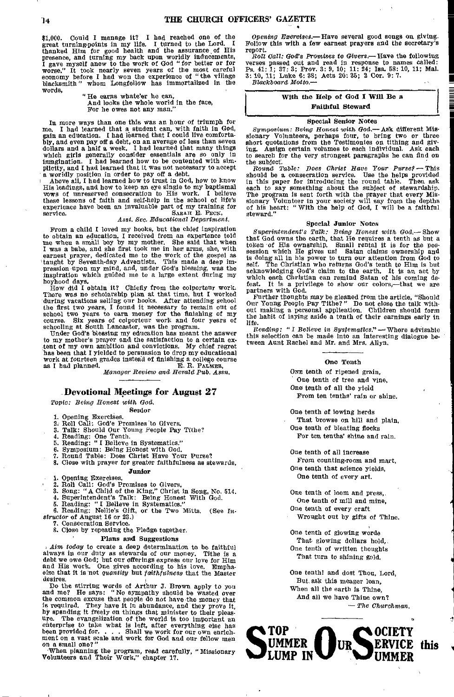\$1,000. Could I manage it? I had reached one of the great turning-points in my life. I turned to the Lord. I thanked Him for good health and the assurance of His presence, and turning my back upon worldly inducements, I gave myself anew to the work of God "for better or for worse." It took nearly seven years of the most careful economy before I had won the experience of "the village blacksmith" whom Longfellow has immortalized in the words,

" He earns whate'er he can, And looks the whole world in the face, For he owes not any man."

In more ways than one this was an hour of triumph for me. I had learned that a student can, with faith in God, gain an education. I had learned that I could live comfortably, and even pay off a debt, on an average of less than seven dollars and a half a week. I had learned that many things which girls generally consider essentials are so only in imagination. I had learned how to be contented with simplicity, and I had learned that it was not necessary to accept a worldly position in order to *pay off* a debt. Above all, I had learned how to trust in God, how to know

His leadings, and how to keep an eye single to my baptismal vows of unreserved consecration to His work. I believe these lessons of faith and self-help in the school of life's experience have been an invaluable part of my training for SARAH E. PECK,

# *Asst. Sec. Educational Department.*

From a child I loved my books, but the chief inspiration to obtain an education, I received from an experience told me when a small boy by my mother. She said that when I was a babe, and she first took me in her arms, she, with earnest prayer, dedicated me to the work of the gospel as taught by Seventh-day Adventists. This made a deep impression upon my mind, and, under God's blessing, was the inspiration which guided me to a large extent during boyhood days.

How did I obtain it? Chiefly from the colporteur work. There was no scholarship plan at that time, but I worked during vacations selling our books. After attending school the first two years, I found it necessary to remain out of school two years to earn money for the finishing of my course. Six years of colporteur work and four years of

schooling at South Lancaster, was the program. Under God's blessing my education has meant the answer to my mother's prayer and the satisfaction to a certain extent of my own ambition and convictions. My chief regret has been that I yielded to persuasion to drop my educational work at fourteen grades instead of finishing a colleke course as I bad planned. E. R. PALMER,

*Manager Review and Herald Pub. Assn.* 

# -Devotional Meetings for August 27

*Topic: Being Honest with God.* 

Senior

- 
- 
- 1. Opening Exercises.<br>
2. Roll Call; God'e Promises to Givers.<br>
3. Talk: Should Our Young People Pay Tithe?<br>
4. Reading: One Tenth.<br>
5. Reading: "I Belleve in Systematics."
- 
- 
- 
- 6. Symposium: Being Honest with God. 7. Round Table: Does Christ Have Your Purse?

8. Close with prayer for greater faithfulness as stewards, Junior

- 1. Opening Exercises. 2. Roll Call: God's Promises to Givers.
- 
- 
- 

3. Song: "A Child of the King," Christ in Song, No. 514,<br>4. Superintendent's Talk: Being Honest With God.<br>5. Reading: "I Belleve in Systematics."<br>6. Reading: Nellie's Gift, or the Two Mitts. (See Instructor of August 16 or

- 7. Consecration Service.
- 8. Close by repeating the Pledge together.

#### Plans and Suggestions

*Aim today* to create a deep determination to be faithful always in our duty as stewards of our money. Tithe is a debt we owe God; but our offerings express our love for Him and His work. One gives according to his love. Emphasize that it is not *quantity* but *faithfulness* that the Master desires.

Do the stirring words of Arthur J. Brown apply to you and me? He says: " No sympathy should be wasted over the common excuse that people do not have the money that is required. They have it in abundance, and they prove it, by spending it freely on things that minister to their pleas-ure. The evangelization of the world is too important an enterprise to take what is left, after everything else has been provided for. . . Shall we work for our own enrich. ment on a vast scale and work for God and our fellow men on a small one?"

When planning the program, read carefully, "Missionary Volunteers and Their Work," chapter 17.

*Opening Exercises.—* Have several good songs on giving. Follow this with a few earnest prayers and the secretary's report.

*Roll Call: God's Promises* to Givers.—Have the following verses passed out and read in response to names called: Ps. 41: 1; 37: 3; Prov. 3: 9, 10; 11: 24; Isa. 58: 10, 11; Mal. 3:10, 11; Luke 6: 38; Acts 20: 35; 2 Cor. 9: 7. *Blackboard Motto.—* 

# With the Help of God I Will Be a Faithful Steward

# Special Senior Notes

Symposium: Being Honest with God.—Ask different Mis-sionary Volunteers, perhaps four, to bring two or three short quotations from the Testimonies on tithing and giving. Assign certain volumes to each individual. Ask each to search for the very strongest paragraphs he can find on the subject.

*Round Table: Does Christ Have* Your *Pursef—* This should be a consecration service. Use the helps provided in this paper for introducing the round table. Then ask each to say something about the subject of stewardship. The program Is sent forth with the prayer that every Mis-sionary Volunteer in your society will say from the depths of hie heart: " With the help of God, I will be a faithful steward."

### Special Junior Notes

*Superintendent's Talk: Being Honest with God.—* Show that God owns the earth, that He requires a tenth as but a token of His ownsrship. Small rental it is for the possession which He gives us! Satan claims ownership and is doing all in hie power to turn our attention from God to self. The Christian who returns God's tenth to Him is but acknowledging God's claim to the earth. It is an act by which each Christian can remind Satan of his coming defeat. It is a privilege to show our colors,—that we are partners with God.

Further thoughts may be gleaned from the article, "Should Our Young People Pay Tithe?" Do not close the talk without making a personal application, Children should form the habit of laying aside a tenth of their earnings early in life.

Reading: "I Believe in Systematics." - Where advisable this selection can be made into an interesting dialogue be-tween Aunt Rachel and Mr. and Mrs. Allyn.

#### One Tenth

ONE tenth of ripened grain, One tenth of tree and vine, One tenth of all the yield From ten tenths' rain or shine.

One tenth of lowing herds That browse on hill and plain, One tenth of bleating flocks For ten tenths' shine and rain.

One tenth of all increase From counting-room and mart, One tenth that science yields, One tenth of every art,

One tenth of loom and press,, One tenth of mill and mine, One tenth of every craft

Wrought out by gifts of Thine.

One tenth of glowing words That glowing dollars hold, One tenth of written thoughts That turn to shining gold.

One tenth! and dost Thou, Lord, But, ask this meager loan, When all the earth is Thine, And all we have Thine own? *— The Churchman.* 

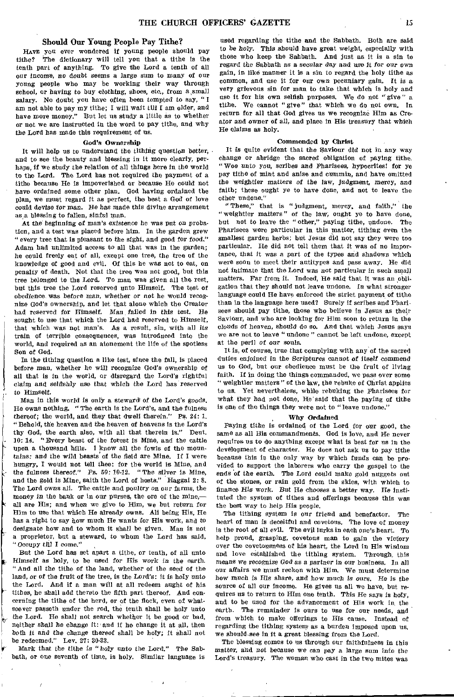# Should Our Young People Pay Tithe?

HAVE you ever wondered if young people should pay tithe? The dictionary will tell you that a tithe is the tenth part of anything. To give the Lord a tenth of all our Income, no *doubt seems* a large sum to many of our young people who may be working their way through school, or having to buy clothing, shoes, etc., *from a,small*  salary. No doubt you have often been tempted to say, " I am not able to pay my tithe; I will wait till I am older, and have more money." But let us study a little as to whether or not we are instructed in the word to pay tithe, and why the Lord has made this requirement of us.

#### God's Ownership

It will help us to understand the tithing *question* better, and to see the beauty and blessing in it more clearly, perhaps, if we study the relation of all things here in the world to the Lord. The Lord has not required the payment of a tithe because He is impoverished or because He could not have ordained some other plan. God having ordained the plan, we must regard it as perfect, the best a God of love could *devise for* man. He has made this divine arrangement asa blessing to fallen, sinful man.

At the beginning of man's existence he was put on probation, and a test was placed before him. In the garden grew " every tree that is pleasant to the sight, and good for food." Adam had unlimited access to all that was in the garden; he could freely eat of all, except one tree, the tree of the knowledge of good and evil. Of this he was not to eat, on penalty of death. Not that the tree was not good, but this tree belonged to the Lord. To man was given all the rest, but this tree the Lord reserved unto Himself. The test of obedience was before *man,* whether or *not* he would recognize God's ownership, and let that alone which the Creator had reserved for Himself. Man failed *in this* test. He sought to use that which the Lord had reserved to Himself, that which was not man's. As a result, sin, with all its train of terrible consequences, was introduced into the world, and required as an atonement the life of the spotless Son of God.

In the tithing question a like test, since the fall, is placed before man, whether he will recognize God's ownership of all that is in the world, or disregard the Lord's rightful claim and selfishly use *that* which the Lord has reserved to Himself.

Man in this world is only a steward' of the Lord's goods. He owns nothing. "The earth is the Lord's, and the fulness thereof; the world, and they that dwell therein." Ps. 24: 1. "Behold, the heaven and the heaven of heavens is the Lord's thy God, the earth also, with all that therein is." Deut. 10: *14, "*Every beast of the forest is Mine, and the cattle upon a thousand hills. I know all the fowls of the mountains: and the wild beasts of the field are Mine. If I were hungry, I would not tell thee: for the world is Mine, and the fulness thereof." Ps. 50: 10-12. "The silver is Mine, and the gold is Mine, saith the Lord of hosts." Haggai 2: 8, The Lord owns all. The cattle and poultry on our farms, the money in the bank or in our purses, the ore of the mine,all are His; and when we give to Him, we but return for Him to use that which He already owns. All being His, He has a right to say how much He wants for His work, and to designate how and to whom it shall be given. Man is not a proprietor, but a steward, to whom the Lord has said, " Occupy  $til1$  I come."

But the Lord has set apart a tithe, or tenth, of all unto Himself as holy, to be used *for* His work in the earth. " And all the tithe of the land, whether of the seed of the land, or of the fruit of the tree, is the Lord's: it is holy unto the Lord. And if a man will at all redeem aught of his tithes, he shall add thereto the fifth part thereof. And concerning the tithe of the herd, or of the flock, even of whatsoever passeth under the rod, the tenth shall be holy unto the Lord. He shall not search whether it be good or bad, neither shall he change it: and if he change it at all, then both it and the change thereof shall be holy; it shall not be redeemed." Lev. 27: 30-33.

Mark that the tithe is "holy unto the Lord." The Sabbath, or one seventh of time, is holy. Similar language is

used regarding the tithe and the Sabbath. Both are said to *be holy.* This should have great weight, especially with those who keep the Sabbath. And just as it is a sin to regard the Sabbath as a secular day and use *it* for our own gain, in like manner it is a sin to regard the holy tithe as common, and use it for our own pecuniary gain. It is a very grievous sin for man to take that which is holy and use it for hie own selfish purposes. We do not " give " a tithe. We cannot "give" that which we do not own. In return for all that God gives us we recognize Him as Creator and owner of all, and place in His treasury that which He claims as holy.

#### Commended by Christ

It is quite evident that the Saviour did not in any way change or abridge the sacred obligation of paying tithe. " Woe *unto* you, scribes and Pharisees, hypocrites! for ye pay tithe of mint and anise and cummin, and have omitted the weightier matters of the law, judgment, mercy, and faith; these ought ye to have done, and not to leave the other undone."

"These," that is "judgment, mercy, and faith," the "weightier matters" of the law; ought ye to have done, but not to leave the "other," paying tithe, undone. The Pharisees were particular in this matter, tithing even the smallest garden herbs; but Jesus did not say they were too particular. He did not tell them that it was of no importance, that it was a *part* of the types and shadows which were soon to meet their antitypes and pass away. He did not intimate that the Lord was not particular in *such* small matters. Far from it. Indeed, He said that it was an obligation that they should not leave undone. In what stronger language could He have enforced the strict payment of tithe than in the language here used? Surely if scribes and Pharisees should pay tithe, those who believe in Jesus as their Saviour, and who are looking for Him soon to return in the clouds *of* heaven, should do so. And that which Jesus says we are not to leave " undone " cannot be left undone, except at the peril of our *souls.* 

*It* is, of course, true that complying with any of the sacred duties enjoined in the Scriptures cannot *of* itself commend us to God, but our obedience must be the fruit of living faith. If in doing the things commanded, we pass over some " weightier matters " of the law, the rebuke of Christ applies to us. Yet nevertheless, while rebuking the Pharisees for what they had not done, He' said that the paying of tithe is one of the things they were not to " leave undone."

#### Why Ordained

Paying tithe is ordained of the Lord for our good, the same as all His commandments. God is love, and He never requires us to do anything except what is best for us in the development of character. He does not ask us to pay tithe because this is the only way by which funds can be provided to support the laborers who carry the gospel to the ends of the earth. The Lord could make gold nuggets out of the stones, or rain gold from the skies, with which to finance His work. But He chooses a better *way.* He instituted the system of tithes and offerings because this was the best way to help His people.

The tithing system is our friend and benefactor. The heart of man is deceitful and covetous. The love of money is the root of all evil. The evil lurks in each one's heart. To help proud, grasping, covetous man to gain the victory over the covetousness of his heart, the Lord in His wisdom and love established the tithing system. Through, this means we *recognize* God as a partner in our business. In all our affairs we must reckon with Him. We must determine how much is His share, and how much is ours. He is the source of all our income. He gives us all we have, but requires us to return to Him one tenth. This He says is holy, and to be used for the advancement of His work in the earth. The remainder is ours to use for our needs, and from which to make offerings to His cause. Instead of regarding the tithing system' as a burden imposed upon us. we should-see in it a great blessing from the Lord.

The blessing comes to us through our faithfulness in this *matter,* and not because we can pay a large sum into the Lord's treasury. The woman who cast in the two mites was